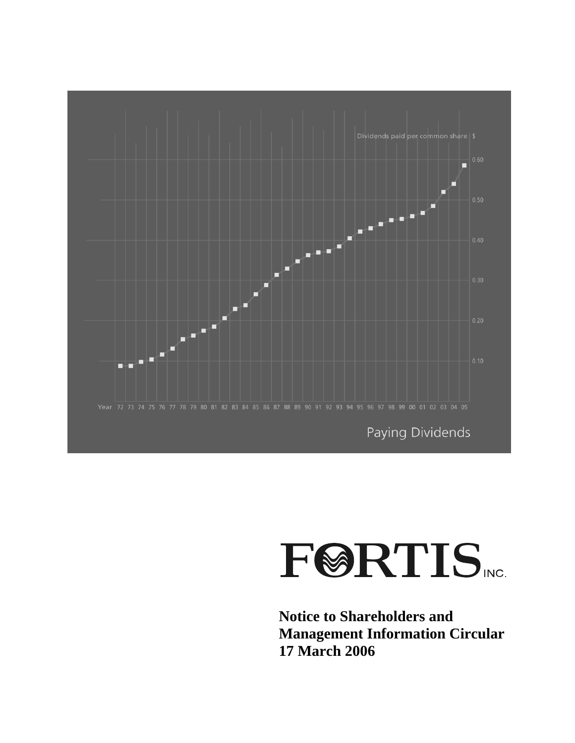

# **FØRTIS**

**Notice to Shareholders and Management Information Circular 17 March 2006**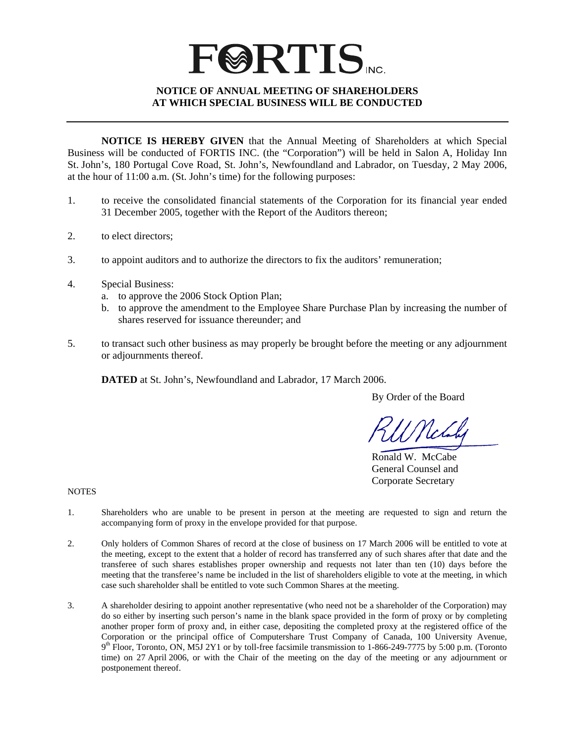### **FØRTIS NOTICE OF ANNUAL MEETING OF SHAREHOLDERS AT WHICH SPECIAL BUSINESS WILL BE CONDUCTED**

**NOTICE IS HEREBY GIVEN** that the Annual Meeting of Shareholders at which Special Business will be conducted of FORTIS INC. (the "Corporation") will be held in Salon A, Holiday Inn St. John's, 180 Portugal Cove Road, St. John's, Newfoundland and Labrador, on Tuesday, 2 May 2006, at the hour of 11:00 a.m. (St. John's time) for the following purposes:

- 1. to receive the consolidated financial statements of the Corporation for its financial year ended 31 December 2005, together with the Report of the Auditors thereon;
- 2. to elect directors;
- 3. to appoint auditors and to authorize the directors to fix the auditors' remuneration;
- 4. Special Business:
	- a. to approve the 2006 Stock Option Plan;
	- b. to approve the amendment to the Employee Share Purchase Plan by increasing the number of shares reserved for issuance thereunder; and
- 5. to transact such other business as may properly be brought before the meeting or any adjournment or adjournments thereof.

**DATED** at St. John's, Newfoundland and Labrador, 17 March 2006.

By Order of the Board

 Ronald W. McCabe General Counsel and Corporate Secretary

**NOTES** 

- 1. Shareholders who are unable to be present in person at the meeting are requested to sign and return the accompanying form of proxy in the envelope provided for that purpose.
- 2. Only holders of Common Shares of record at the close of business on 17 March 2006 will be entitled to vote at the meeting, except to the extent that a holder of record has transferred any of such shares after that date and the transferee of such shares establishes proper ownership and requests not later than ten (10) days before the meeting that the transferee's name be included in the list of shareholders eligible to vote at the meeting, in which case such shareholder shall be entitled to vote such Common Shares at the meeting.
- 3. A shareholder desiring to appoint another representative (who need not be a shareholder of the Corporation) may do so either by inserting such person's name in the blank space provided in the form of proxy or by completing another proper form of proxy and, in either case, depositing the completed proxy at the registered office of the Corporation or the principal office of Computershare Trust Company of Canada, 100 University Avenue,  $9<sup>th</sup>$  Floor, Toronto, ON, M5J 2Y1 or by toll-free facsimile transmission to 1-866-249-7775 by 5:00 p.m. (Toronto time) on 27 April 2006, or with the Chair of the meeting on the day of the meeting or any adjournment or postponement thereof.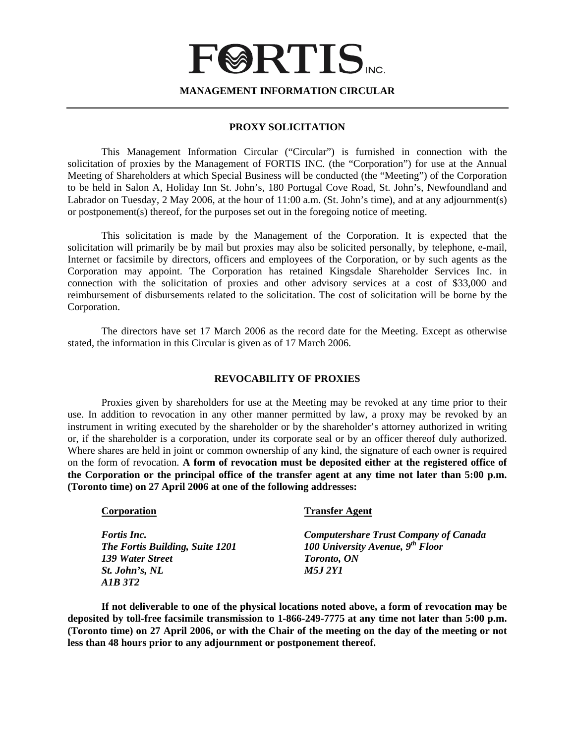## **FØRTIS**

**MANAGEMENT INFORMATION CIRCULAR** 

#### **PROXY SOLICITATION**

This Management Information Circular ("Circular") is furnished in connection with the solicitation of proxies by the Management of FORTIS INC. (the "Corporation") for use at the Annual Meeting of Shareholders at which Special Business will be conducted (the "Meeting") of the Corporation to be held in Salon A, Holiday Inn St. John's, 180 Portugal Cove Road, St. John's, Newfoundland and Labrador on Tuesday, 2 May 2006, at the hour of 11:00 a.m. (St. John's time), and at any adjournment(s) or postponement(s) thereof, for the purposes set out in the foregoing notice of meeting.

This solicitation is made by the Management of the Corporation. It is expected that the solicitation will primarily be by mail but proxies may also be solicited personally, by telephone, e-mail, Internet or facsimile by directors, officers and employees of the Corporation, or by such agents as the Corporation may appoint. The Corporation has retained Kingsdale Shareholder Services Inc. in connection with the solicitation of proxies and other advisory services at a cost of \$33,000 and reimbursement of disbursements related to the solicitation. The cost of solicitation will be borne by the Corporation.

The directors have set 17 March 2006 as the record date for the Meeting. Except as otherwise stated, the information in this Circular is given as of 17 March 2006.

#### **REVOCABILITY OF PROXIES**

 Proxies given by shareholders for use at the Meeting may be revoked at any time prior to their use. In addition to revocation in any other manner permitted by law, a proxy may be revoked by an instrument in writing executed by the shareholder or by the shareholder's attorney authorized in writing or, if the shareholder is a corporation, under its corporate seal or by an officer thereof duly authorized. Where shares are held in joint or common ownership of any kind, the signature of each owner is required on the form of revocation. **A form of revocation must be deposited either at the registered office of the Corporation or the principal office of the transfer agent at any time not later than 5:00 p.m. (Toronto time) on 27 April 2006 at one of the following addresses:**

| Corporation                     | <b>Transfer Agent</b>                        |
|---------------------------------|----------------------------------------------|
| <i>Fortis Inc.</i>              | <b>Computershare Trust Company of Canada</b> |
| The Fortis Building, Suite 1201 | 100 University Avenue, $9^{th}$ Floor        |
| 139 Water Street                | <b>Toronto, ON</b>                           |
| St. John's, NL                  | <i>M5J 2Y1</i>                               |
| AIB 3T2                         |                                              |

**If not deliverable to one of the physical locations noted above, a form of revocation may be deposited by toll-free facsimile transmission to 1-866-249-7775 at any time not later than 5:00 p.m. (Toronto time) on 27 April 2006, or with the Chair of the meeting on the day of the meeting or not less than 48 hours prior to any adjournment or postponement thereof.**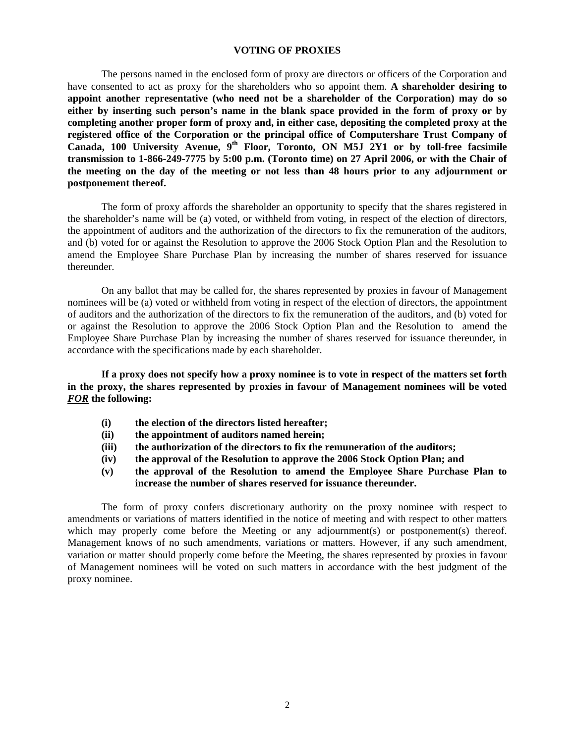#### **VOTING OF PROXIES**

 The persons named in the enclosed form of proxy are directors or officers of the Corporation and have consented to act as proxy for the shareholders who so appoint them. **A shareholder desiring to appoint another representative (who need not be a shareholder of the Corporation) may do so either by inserting such person's name in the blank space provided in the form of proxy or by completing another proper form of proxy and, in either case, depositing the completed proxy at the registered office of the Corporation or the principal office of Computershare Trust Company of Canada, 100 University Avenue, 9th Floor, Toronto, ON M5J 2Y1 or by toll-free facsimile transmission to 1-866-249-7775 by 5:00 p.m. (Toronto time) on 27 April 2006, or with the Chair of the meeting on the day of the meeting or not less than 48 hours prior to any adjournment or postponement thereof.**

 The form of proxy affords the shareholder an opportunity to specify that the shares registered in the shareholder's name will be (a) voted, or withheld from voting, in respect of the election of directors, the appointment of auditors and the authorization of the directors to fix the remuneration of the auditors, and (b) voted for or against the Resolution to approve the 2006 Stock Option Plan and the Resolution to amend the Employee Share Purchase Plan by increasing the number of shares reserved for issuance thereunder.

 On any ballot that may be called for, the shares represented by proxies in favour of Management nominees will be (a) voted or withheld from voting in respect of the election of directors, the appointment of auditors and the authorization of the directors to fix the remuneration of the auditors, and (b) voted for or against the Resolution to approve the 2006 Stock Option Plan and the Resolution to amend the Employee Share Purchase Plan by increasing the number of shares reserved for issuance thereunder, in accordance with the specifications made by each shareholder.

**If a proxy does not specify how a proxy nominee is to vote in respect of the matters set forth in the proxy, the shares represented by proxies in favour of Management nominees will be voted**  *FOR* **the following:** 

- **(i) the election of the directors listed hereafter;**
- **(ii) the appointment of auditors named herein;**
- **(iii) the authorization of the directors to fix the remuneration of the auditors;**
- **(iv) the approval of the Resolution to approve the 2006 Stock Option Plan; and**
- **(v) the approval of the Resolution to amend the Employee Share Purchase Plan to increase the number of shares reserved for issuance thereunder.**

 The form of proxy confers discretionary authority on the proxy nominee with respect to amendments or variations of matters identified in the notice of meeting and with respect to other matters which may properly come before the Meeting or any adjournment(s) or postponement(s) thereof. Management knows of no such amendments, variations or matters. However, if any such amendment, variation or matter should properly come before the Meeting, the shares represented by proxies in favour of Management nominees will be voted on such matters in accordance with the best judgment of the proxy nominee.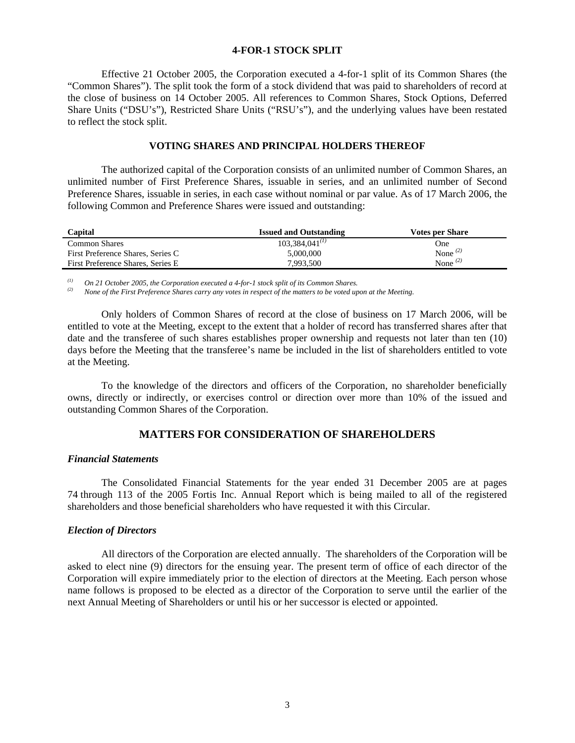#### **4-FOR-1 STOCK SPLIT**

Effective 21 October 2005, the Corporation executed a 4-for-1 split of its Common Shares (the "Common Shares"). The split took the form of a stock dividend that was paid to shareholders of record at the close of business on 14 October 2005. All references to Common Shares, Stock Options, Deferred Share Units ("DSU's"), Restricted Share Units ("RSU's"), and the underlying values have been restated to reflect the stock split.

#### **VOTING SHARES AND PRINCIPAL HOLDERS THEREOF**

 The authorized capital of the Corporation consists of an unlimited number of Common Shares, an unlimited number of First Preference Shares, issuable in series, and an unlimited number of Second Preference Shares, issuable in series, in each case without nominal or par value. As of 17 March 2006, the following Common and Preference Shares were issued and outstanding:

| Capital                           | <b>Issued and Outstanding</b> | <b>Votes per Share</b> |
|-----------------------------------|-------------------------------|------------------------|
| Common Shares                     | $103.384.041^{(1)}$           | One                    |
| First Preference Shares, Series C | 5,000,000                     | None $(2)$             |
| First Preference Shares, Series E | 7.993.500                     | None $(2)$             |

*(1) On 21 October 2005, the Corporation executed a 4-for-1 stock split of its Common Shares.*

*(2) None of the First Preference Shares carry any votes in respect of the matters to be voted upon at the Meeting.* 

Only holders of Common Shares of record at the close of business on 17 March 2006, will be entitled to vote at the Meeting, except to the extent that a holder of record has transferred shares after that date and the transferee of such shares establishes proper ownership and requests not later than ten (10) days before the Meeting that the transferee's name be included in the list of shareholders entitled to vote at the Meeting.

To the knowledge of the directors and officers of the Corporation, no shareholder beneficially owns, directly or indirectly, or exercises control or direction over more than 10% of the issued and outstanding Common Shares of the Corporation.

#### **MATTERS FOR CONSIDERATION OF SHAREHOLDERS**

#### *Financial Statements*

 The Consolidated Financial Statements for the year ended 31 December 2005 are at pages 74 through 113 of the 2005 Fortis Inc. Annual Report which is being mailed to all of the registered shareholders and those beneficial shareholders who have requested it with this Circular.

#### *Election of Directors*

 All directors of the Corporation are elected annually. The shareholders of the Corporation will be asked to elect nine (9) directors for the ensuing year. The present term of office of each director of the Corporation will expire immediately prior to the election of directors at the Meeting. Each person whose name follows is proposed to be elected as a director of the Corporation to serve until the earlier of the next Annual Meeting of Shareholders or until his or her successor is elected or appointed.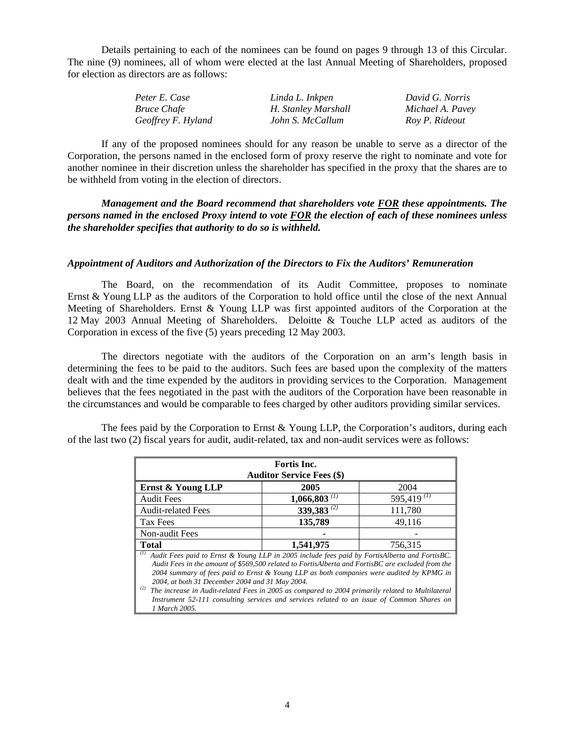Details pertaining to each of the nominees can be found on pages 9 through 13 of this Circular. The nine (9) nominees, all of whom were elected at the last Annual Meeting of Shareholders, proposed for election as directors are as follows:

| Peter E. Case      | Linda L. Inkpen     | David G. Norris  |
|--------------------|---------------------|------------------|
| <i>Bruce Chafe</i> | H. Stanley Marshall | Michael A. Pavey |
| Geoffrey F. Hyland | John S. McCallum    | Roy P. Rideout   |

If any of the proposed nominees should for any reason be unable to serve as a director of the Corporation, the persons named in the enclosed form of proxy reserve the right to nominate and vote for another nominee in their discretion unless the shareholder has specified in the proxy that the shares are to be withheld from voting in the election of directors.

*Management and the Board recommend that shareholders vote FOR these appointments. The persons named in the enclosed Proxy intend to vote FOR the election of each of these nominees unless the shareholder specifies that authority to do so is withheld.* 

#### *Appointment of Auditors and Authorization of the Directors to Fix the Auditors' Remuneration*

 The Board, on the recommendation of its Audit Committee, proposes to nominate Ernst & Young LLP as the auditors of the Corporation to hold office until the close of the next Annual Meeting of Shareholders. Ernst & Young LLP was first appointed auditors of the Corporation at the 12 May 2003 Annual Meeting of Shareholders. Deloitte & Touche LLP acted as auditors of the Corporation in excess of the five (5) years preceding 12 May 2003.

 The directors negotiate with the auditors of the Corporation on an arm's length basis in determining the fees to be paid to the auditors. Such fees are based upon the complexity of the matters dealt with and the time expended by the auditors in providing services to the Corporation. Management believes that the fees negotiated in the past with the auditors of the Corporation have been reasonable in the circumstances and would be comparable to fees charged by other auditors providing similar services.

The fees paid by the Corporation to Ernst  $&$  Young LLP, the Corporation's auditors, during each of the last two (2) fiscal years for audit, audit-related, tax and non-audit services were as follows:

| <b>Fortis Inc.</b><br><b>Auditor Service Fees (\$)</b>                                                                                                                                                                                                                                                                                                                                                                                                                                                                                                                             |                            |                  |  |  |  |
|------------------------------------------------------------------------------------------------------------------------------------------------------------------------------------------------------------------------------------------------------------------------------------------------------------------------------------------------------------------------------------------------------------------------------------------------------------------------------------------------------------------------------------------------------------------------------------|----------------------------|------------------|--|--|--|
| 2004<br>2005<br>Ernst & Young LLP                                                                                                                                                                                                                                                                                                                                                                                                                                                                                                                                                  |                            |                  |  |  |  |
| <b>Audit Fees</b>                                                                                                                                                                                                                                                                                                                                                                                                                                                                                                                                                                  | $1,066,803$ <sup>(1)</sup> | 595,419 $^{(1)}$ |  |  |  |
| <b>Audit-related Fees</b>                                                                                                                                                                                                                                                                                                                                                                                                                                                                                                                                                          | 339,383 <sup>(2)</sup>     | 111,780          |  |  |  |
| Tax Fees                                                                                                                                                                                                                                                                                                                                                                                                                                                                                                                                                                           | 135,789                    | 49,116           |  |  |  |
| Non-audit Fees                                                                                                                                                                                                                                                                                                                                                                                                                                                                                                                                                                     |                            |                  |  |  |  |
| <b>Total</b>                                                                                                                                                                                                                                                                                                                                                                                                                                                                                                                                                                       | 1,541,975                  | 756,315          |  |  |  |
| (I)<br>Audit Fees paid to Ernst & Young LLP in 2005 include fees paid by FortisAlberta and FortisBC.<br>Audit Fees in the amount of \$569,500 related to FortisAlberta and FortisBC are excluded from the<br>2004 summary of fees paid to Ernst & Young LLP as both companies were audited by KPMG in<br>2004, at both 31 December 2004 and 31 May 2004.<br>(2)<br>The increase in Audit-related Fees in 2005 as compared to 2004 primarily related to Multilateral<br>Instrument 52-111 consulting services and services related to an issue of Common Shares on<br>1 March 2005. |                            |                  |  |  |  |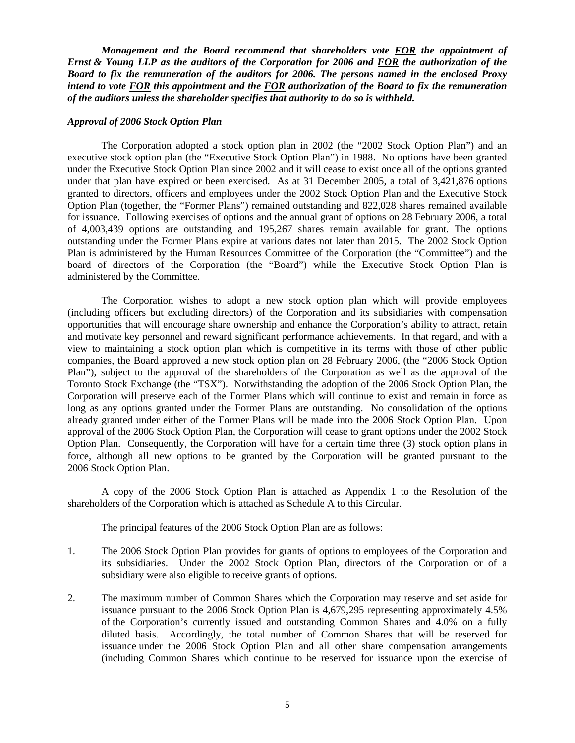*Management and the Board recommend that shareholders vote FOR the appointment of Ernst & Young LLP as the auditors of the Corporation for 2006 and FOR the authorization of the Board to fix the remuneration of the auditors for 2006. The persons named in the enclosed Proxy intend to vote FOR this appointment and the FOR authorization of the Board to fix the remuneration of the auditors unless the shareholder specifies that authority to do so is withheld.* 

#### *Approval of 2006 Stock Option Plan*

The Corporation adopted a stock option plan in 2002 (the "2002 Stock Option Plan") and an executive stock option plan (the "Executive Stock Option Plan") in 1988. No options have been granted under the Executive Stock Option Plan since 2002 and it will cease to exist once all of the options granted under that plan have expired or been exercised. As at 31 December 2005, a total of 3,421,876 options granted to directors, officers and employees under the 2002 Stock Option Plan and the Executive Stock Option Plan (together, the "Former Plans") remained outstanding and 822,028 shares remained available for issuance. Following exercises of options and the annual grant of options on 28 February 2006, a total of 4,003,439 options are outstanding and 195,267 shares remain available for grant. The options outstanding under the Former Plans expire at various dates not later than 2015. The 2002 Stock Option Plan is administered by the Human Resources Committee of the Corporation (the "Committee") and the board of directors of the Corporation (the "Board") while the Executive Stock Option Plan is administered by the Committee.

The Corporation wishes to adopt a new stock option plan which will provide employees (including officers but excluding directors) of the Corporation and its subsidiaries with compensation opportunities that will encourage share ownership and enhance the Corporation's ability to attract, retain and motivate key personnel and reward significant performance achievements. In that regard, and with a view to maintaining a stock option plan which is competitive in its terms with those of other public companies, the Board approved a new stock option plan on 28 February 2006, (the "2006 Stock Option Plan"), subject to the approval of the shareholders of the Corporation as well as the approval of the Toronto Stock Exchange (the "TSX"). Notwithstanding the adoption of the 2006 Stock Option Plan, the Corporation will preserve each of the Former Plans which will continue to exist and remain in force as long as any options granted under the Former Plans are outstanding. No consolidation of the options already granted under either of the Former Plans will be made into the 2006 Stock Option Plan. Upon approval of the 2006 Stock Option Plan, the Corporation will cease to grant options under the 2002 Stock Option Plan. Consequently, the Corporation will have for a certain time three (3) stock option plans in force, although all new options to be granted by the Corporation will be granted pursuant to the 2006 Stock Option Plan.

A copy of the 2006 Stock Option Plan is attached as Appendix 1 to the Resolution of the shareholders of the Corporation which is attached as Schedule A to this Circular.

The principal features of the 2006 Stock Option Plan are as follows:

- 1. The 2006 Stock Option Plan provides for grants of options to employees of the Corporation and its subsidiaries. Under the 2002 Stock Option Plan, directors of the Corporation or of a subsidiary were also eligible to receive grants of options.
- 2. The maximum number of Common Shares which the Corporation may reserve and set aside for issuance pursuant to the 2006 Stock Option Plan is 4,679,295 representing approximately 4.5% of the Corporation's currently issued and outstanding Common Shares and 4.0% on a fully diluted basis. Accordingly, the total number of Common Shares that will be reserved for issuance under the 2006 Stock Option Plan and all other share compensation arrangements (including Common Shares which continue to be reserved for issuance upon the exercise of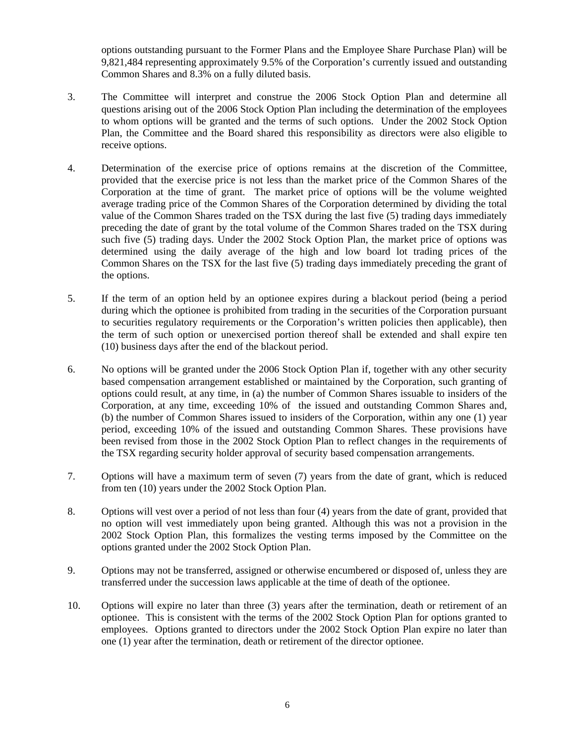options outstanding pursuant to the Former Plans and the Employee Share Purchase Plan) will be 9,821,484 representing approximately 9.5% of the Corporation's currently issued and outstanding Common Shares and 8.3% on a fully diluted basis.

- 3. The Committee will interpret and construe the 2006 Stock Option Plan and determine all questions arising out of the 2006 Stock Option Plan including the determination of the employees to whom options will be granted and the terms of such options. Under the 2002 Stock Option Plan, the Committee and the Board shared this responsibility as directors were also eligible to receive options.
- 4. Determination of the exercise price of options remains at the discretion of the Committee, provided that the exercise price is not less than the market price of the Common Shares of the Corporation at the time of grant. The market price of options will be the volume weighted average trading price of the Common Shares of the Corporation determined by dividing the total value of the Common Shares traded on the TSX during the last five (5) trading days immediately preceding the date of grant by the total volume of the Common Shares traded on the TSX during such five (5) trading days. Under the 2002 Stock Option Plan, the market price of options was determined using the daily average of the high and low board lot trading prices of the Common Shares on the TSX for the last five (5) trading days immediately preceding the grant of the options.
- 5. If the term of an option held by an optionee expires during a blackout period (being a period during which the optionee is prohibited from trading in the securities of the Corporation pursuant to securities regulatory requirements or the Corporation's written policies then applicable), then the term of such option or unexercised portion thereof shall be extended and shall expire ten (10) business days after the end of the blackout period.
- 6. No options will be granted under the 2006 Stock Option Plan if, together with any other security based compensation arrangement established or maintained by the Corporation, such granting of options could result, at any time, in (a) the number of Common Shares issuable to insiders of the Corporation, at any time, exceeding 10% of the issued and outstanding Common Shares and, (b) the number of Common Shares issued to insiders of the Corporation, within any one (1) year period, exceeding 10% of the issued and outstanding Common Shares. These provisions have been revised from those in the 2002 Stock Option Plan to reflect changes in the requirements of the TSX regarding security holder approval of security based compensation arrangements.
- 7. Options will have a maximum term of seven (7) years from the date of grant, which is reduced from ten (10) years under the 2002 Stock Option Plan.
- 8. Options will vest over a period of not less than four (4) years from the date of grant, provided that no option will vest immediately upon being granted. Although this was not a provision in the 2002 Stock Option Plan, this formalizes the vesting terms imposed by the Committee on the options granted under the 2002 Stock Option Plan.
- 9. Options may not be transferred, assigned or otherwise encumbered or disposed of, unless they are transferred under the succession laws applicable at the time of death of the optionee.
- 10. Options will expire no later than three (3) years after the termination, death or retirement of an optionee. This is consistent with the terms of the 2002 Stock Option Plan for options granted to employees. Options granted to directors under the 2002 Stock Option Plan expire no later than one (1) year after the termination, death or retirement of the director optionee.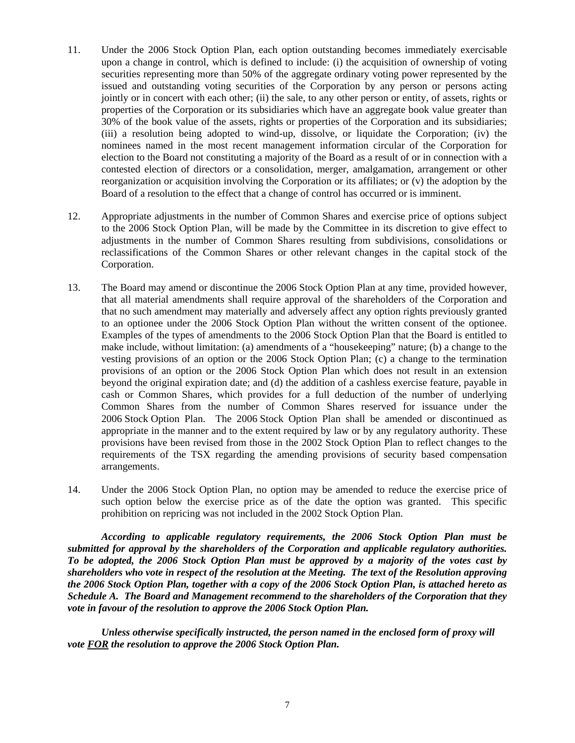- 11. Under the 2006 Stock Option Plan, each option outstanding becomes immediately exercisable upon a change in control, which is defined to include: (i) the acquisition of ownership of voting securities representing more than 50% of the aggregate ordinary voting power represented by the issued and outstanding voting securities of the Corporation by any person or persons acting jointly or in concert with each other; (ii) the sale, to any other person or entity, of assets, rights or properties of the Corporation or its subsidiaries which have an aggregate book value greater than 30% of the book value of the assets, rights or properties of the Corporation and its subsidiaries; (iii) a resolution being adopted to wind-up, dissolve, or liquidate the Corporation; (iv) the nominees named in the most recent management information circular of the Corporation for election to the Board not constituting a majority of the Board as a result of or in connection with a contested election of directors or a consolidation, merger, amalgamation, arrangement or other reorganization or acquisition involving the Corporation or its affiliates; or (v) the adoption by the Board of a resolution to the effect that a change of control has occurred or is imminent.
- 12. Appropriate adjustments in the number of Common Shares and exercise price of options subject to the 2006 Stock Option Plan, will be made by the Committee in its discretion to give effect to adjustments in the number of Common Shares resulting from subdivisions, consolidations or reclassifications of the Common Shares or other relevant changes in the capital stock of the Corporation.
- 13. The Board may amend or discontinue the 2006 Stock Option Plan at any time, provided however, that all material amendments shall require approval of the shareholders of the Corporation and that no such amendment may materially and adversely affect any option rights previously granted to an optionee under the 2006 Stock Option Plan without the written consent of the optionee. Examples of the types of amendments to the 2006 Stock Option Plan that the Board is entitled to make include, without limitation: (a) amendments of a "housekeeping" nature; (b) a change to the vesting provisions of an option or the 2006 Stock Option Plan; (c) a change to the termination provisions of an option or the 2006 Stock Option Plan which does not result in an extension beyond the original expiration date; and (d) the addition of a cashless exercise feature, payable in cash or Common Shares, which provides for a full deduction of the number of underlying Common Shares from the number of Common Shares reserved for issuance under the 2006 Stock Option Plan. The 2006 Stock Option Plan shall be amended or discontinued as appropriate in the manner and to the extent required by law or by any regulatory authority. These provisions have been revised from those in the 2002 Stock Option Plan to reflect changes to the requirements of the TSX regarding the amending provisions of security based compensation arrangements.
- 14. Under the 2006 Stock Option Plan, no option may be amended to reduce the exercise price of such option below the exercise price as of the date the option was granted. This specific prohibition on repricing was not included in the 2002 Stock Option Plan.

*According to applicable regulatory requirements, the 2006 Stock Option Plan must be submitted for approval by the shareholders of the Corporation and applicable regulatory authorities. To be adopted, the 2006 Stock Option Plan must be approved by a majority of the votes cast by shareholders who vote in respect of the resolution at the Meeting. The text of the Resolution approving the 2006 Stock Option Plan, together with a copy of the 2006 Stock Option Plan, is attached hereto as Schedule A. The Board and Management recommend to the shareholders of the Corporation that they vote in favour of the resolution to approve the 2006 Stock Option Plan.* 

*Unless otherwise specifically instructed, the person named in the enclosed form of proxy will vote FOR the resolution to approve the 2006 Stock Option Plan.*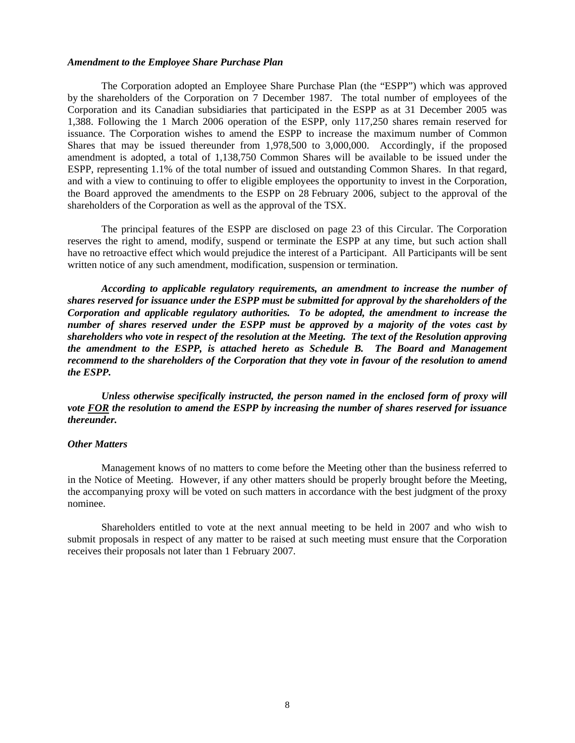#### *Amendment to the Employee Share Purchase Plan*

The Corporation adopted an Employee Share Purchase Plan (the "ESPP") which was approved by the shareholders of the Corporation on 7 December 1987. The total number of employees of the Corporation and its Canadian subsidiaries that participated in the ESPP as at 31 December 2005 was 1,388. Following the 1 March 2006 operation of the ESPP, only 117,250 shares remain reserved for issuance. The Corporation wishes to amend the ESPP to increase the maximum number of Common Shares that may be issued thereunder from 1,978,500 to 3,000,000. Accordingly, if the proposed amendment is adopted, a total of 1,138,750 Common Shares will be available to be issued under the ESPP, representing 1.1% of the total number of issued and outstanding Common Shares. In that regard, and with a view to continuing to offer to eligible employees the opportunity to invest in the Corporation, the Board approved the amendments to the ESPP on 28 February 2006, subject to the approval of the shareholders of the Corporation as well as the approval of the TSX.

The principal features of the ESPP are disclosed on page 23 of this Circular. The Corporation reserves the right to amend, modify, suspend or terminate the ESPP at any time, but such action shall have no retroactive effect which would prejudice the interest of a Participant. All Participants will be sent written notice of any such amendment, modification, suspension or termination.

*According to applicable regulatory requirements, an amendment to increase the number of shares reserved for issuance under the ESPP must be submitted for approval by the shareholders of the Corporation and applicable regulatory authorities. To be adopted, the amendment to increase the number of shares reserved under the ESPP must be approved by a majority of the votes cast by shareholders who vote in respect of the resolution at the Meeting. The text of the Resolution approving the amendment to the ESPP, is attached hereto as Schedule B. The Board and Management recommend to the shareholders of the Corporation that they vote in favour of the resolution to amend the ESPP.* 

*Unless otherwise specifically instructed, the person named in the enclosed form of proxy will vote FOR the resolution to amend the ESPP by increasing the number of shares reserved for issuance thereunder.* 

#### *Other Matters*

 Management knows of no matters to come before the Meeting other than the business referred to in the Notice of Meeting. However, if any other matters should be properly brought before the Meeting, the accompanying proxy will be voted on such matters in accordance with the best judgment of the proxy nominee.

Shareholders entitled to vote at the next annual meeting to be held in 2007 and who wish to submit proposals in respect of any matter to be raised at such meeting must ensure that the Corporation receives their proposals not later than 1 February 2007.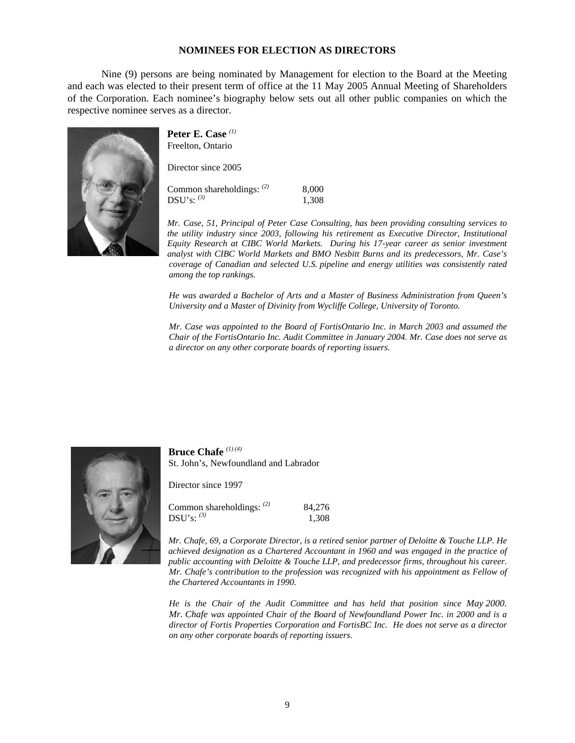#### **NOMINEES FOR ELECTION AS DIRECTORS**

Nine (9) persons are being nominated by Management for election to the Board at the Meeting and each was elected to their present term of office at the 11 May 2005 Annual Meeting of Shareholders of the Corporation. Each nominee's biography below sets out all other public companies on which the respective nominee serves as a director.



**Peter E. Case** *(1)* Freelton, Ontario

Director since 2005

Common shareholdings: *(2)* 8,000 DSU's: <sup>(3)</sup> 1,308

*Mr. Case, 51, Principal of Peter Case Consulting, has been providing consulting services to the utility industry since 2003, following his retirement as Executive Director, Institutional Equity Research at CIBC World Markets. During his 17-year career as senior investment analyst with CIBC World Markets and BMO Nesbitt Burns and its predecessors, Mr. Case's coverage of Canadian and selected U.S. pipeline and energy utilities was consistently rated among the top rankings.* 

*He was awarded a Bachelor of Arts and a Master of Business Administration from Queen's University and a Master of Divinity from Wycliffe College, University of Toronto.* 

*Mr. Case was appointed to the Board of FortisOntario Inc. in March 2003 and assumed the Chair of the FortisOntario Inc. Audit Committee in January 2004. Mr. Case does not serve as a director on any other corporate boards of reporting issuers.* 



**Bruce Chafe** *(1) (4)* St. John's, Newfoundland and Labrador

Director since 1997

| Common shareholdings: $(2)$ | 84,276 |
|-----------------------------|--------|
| $\mathrm{DSU's:}~^{(3)}$    | 1,308  |

*Mr. Chafe, 69, a Corporate Director, is a retired senior partner of Deloitte & Touche LLP. He achieved designation as a Chartered Accountant in 1960 and was engaged in the practice of public accounting with Deloitte & Touche LLP, and predecessor firms, throughout his career. Mr. Chafe's contribution to the profession was recognized with his appointment as Fellow of the Chartered Accountants in 1990.* 

*He is the Chair of the Audit Committee and has held that position since May 2000. Mr. Chafe was appointed Chair of the Board of Newfoundland Power Inc. in 2000 and is a director of Fortis Properties Corporation and FortisBC Inc. He does not serve as a director on any other corporate boards of reporting issuers*.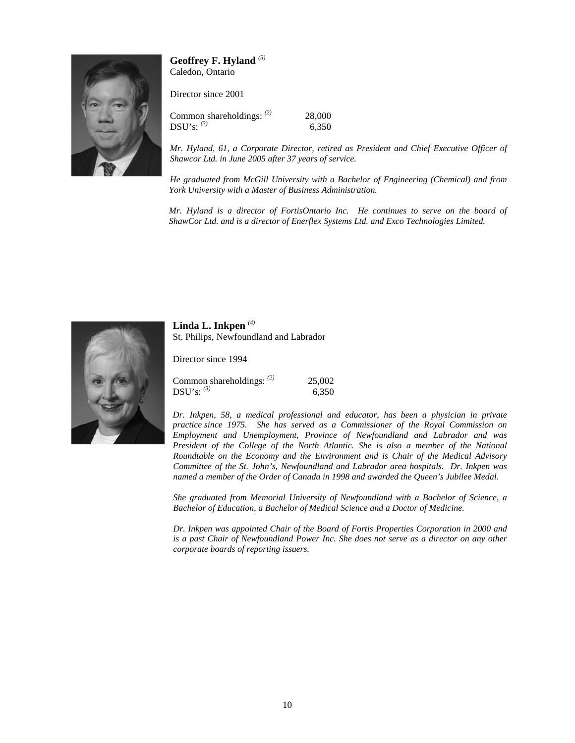

**Geoffrey F. Hyland** *(5)* Caledon, Ontario

Director since 2001

Common shareholdings: *(2)* 28,000  $DSU's:$ <sup>(3)</sup> 6,350

*Mr. Hyland, 61, a Corporate Director, retired as President and Chief Executive Officer of Shawcor Ltd. in June 2005 after 37 years of service.* 

*He graduated from McGill University with a Bachelor of Engineering (Chemical) and from York University with a Master of Business Administration.* 

*Mr. Hyland is a director of FortisOntario Inc. He continues to serve on the board of ShawCor Ltd. and is a director of Enerflex Systems Ltd. and Exco Technologies Limited.* 



**Linda L. Inkpen** *(4)* St. Philips, Newfoundland and Labrador

Director since 1994

| Common shareholdings: $(2)$ | 25,002 |
|-----------------------------|--------|
| $\mathrm{DSU's:}~^{(3)}$    | 6,350  |

*Dr. Inkpen, 58, a medical professional and educator, has been a physician in private practice since 1975. She has served as a Commissioner of the Royal Commission on Employment and Unemployment, Province of Newfoundland and Labrador and was President of the College of the North Atlantic. She is also a member of the National Roundtable on the Economy and the Environment and is Chair of the Medical Advisory Committee of the St. John's, Newfoundland and Labrador area hospitals. Dr. Inkpen was named a member of the Order of Canada in 1998 and awarded the Queen's Jubilee Medal.* 

*She graduated from Memorial University of Newfoundland with a Bachelor of Science, a Bachelor of Education, a Bachelor of Medical Science and a Doctor of Medicine.* 

*Dr. Inkpen was appointed Chair of the Board of Fortis Properties Corporation in 2000 and is a past Chair of Newfoundland Power Inc. She does not serve as a director on any other corporate boards of reporting issuers*.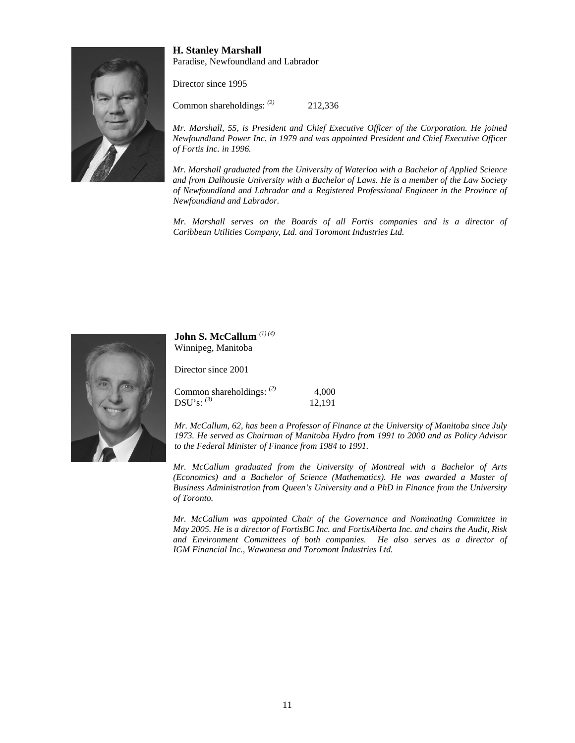

#### **H. Stanley Marshall**  Paradise, Newfoundland and Labrador

Director since 1995

Common shareholdings: *(2)* 212,336

*Mr. Marshall, 55, is President and Chief Executive Officer of the Corporation. He joined Newfoundland Power Inc. in 1979 and was appointed President and Chief Executive Officer of Fortis Inc. in 1996.* 

*Mr. Marshall graduated from the University of Waterloo with a Bachelor of Applied Science and from Dalhousie University with a Bachelor of Laws. He is a member of the Law Society of Newfoundland and Labrador and a Registered Professional Engineer in the Province of Newfoundland and Labrador.* 

*Mr. Marshall serves on the Boards of all Fortis companies and is a director of Caribbean Utilities Company, Ltd. and Toromont Industries Ltd.* 



#### **John S. McCallum** *(1) (4)* Winnipeg, Manitoba

Director since 2001

| Common shareholdings: $(2)$ | 4,000  |
|-----------------------------|--------|
| $\mathrm{DSU's:}~^{(3)}$    | 12,191 |

*Mr. McCallum, 62, has been a Professor of Finance at the University of Manitoba since July 1973. He served as Chairman of Manitoba Hydro from 1991 to 2000 and as Policy Advisor to the Federal Minister of Finance from 1984 to 1991.* 

*Mr. McCallum graduated from the University of Montreal with a Bachelor of Arts (Economics) and a Bachelor of Science (Mathematics). He was awarded a Master of Business Administration from Queen's University and a PhD in Finance from the University of Toronto.* 

*Mr. McCallum was appointed Chair of the Governance and Nominating Committee in May 2005. He is a director of FortisBC Inc. and FortisAlberta Inc. and chairs the Audit, Risk and Environment Committees of both companies. He also serves as a director of IGM Financial Inc., Wawanesa and Toromont Industries Ltd.*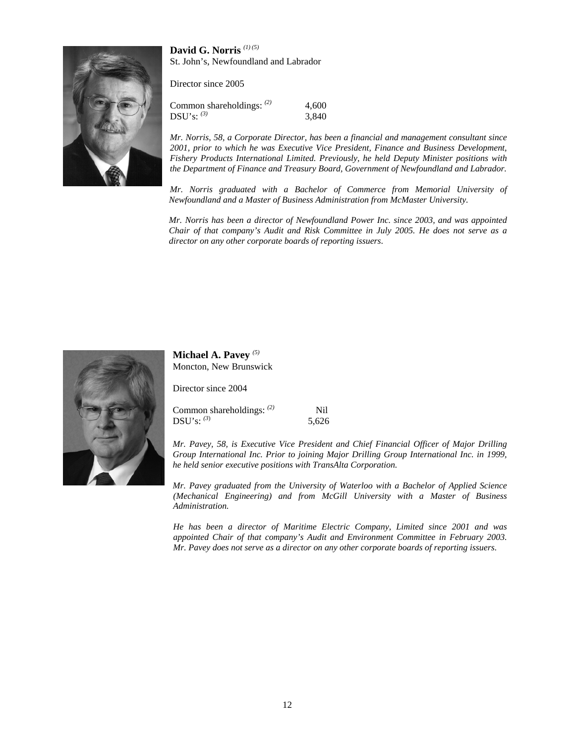**David G. Norris** *(1) (5)* St. John's, Newfoundland and Labrador

Director since 2005

| Common shareholdings: $(2)$ | 4.600 |
|-----------------------------|-------|
| $DSU's:$ (3)                | 3,840 |

*Mr. Norris, 58, a Corporate Director, has been a financial and management consultant since 2001, prior to which he was Executive Vice President, Finance and Business Development, Fishery Products International Limited. Previously, he held Deputy Minister positions with the Department of Finance and Treasury Board, Government of Newfoundland and Labrador.* 

*Mr. Norris graduated with a Bachelor of Commerce from Memorial University of Newfoundland and a Master of Business Administration from McMaster University.* 

*Mr. Norris has been a director of Newfoundland Power Inc. since 2003, and was appointed Chair of that company's Audit and Risk Committee in July 2005. He does not serve as a director on any other corporate boards of reporting issuers*.



**Michael A. Pavey** *(5)* Moncton, New Brunswick

Director since 2004

Common shareholdings: <sup>(2)</sup> Nil DSU's: *(3*) 5,626

*Mr. Pavey, 58, is Executive Vice President and Chief Financial Officer of Major Drilling Group International Inc. Prior to joining Major Drilling Group International Inc. in 1999, he held senior executive positions with TransAlta Corporation.* 

*Mr. Pavey graduated from the University of Waterloo with a Bachelor of Applied Science (Mechanical Engineering) and from McGill University with a Master of Business Administration.* 

*He has been a director of Maritime Electric Company, Limited since 2001 and was appointed Chair of that company's Audit and Environment Committee in February 2003. Mr. Pavey does not serve as a director on any other corporate boards of reporting issuers*.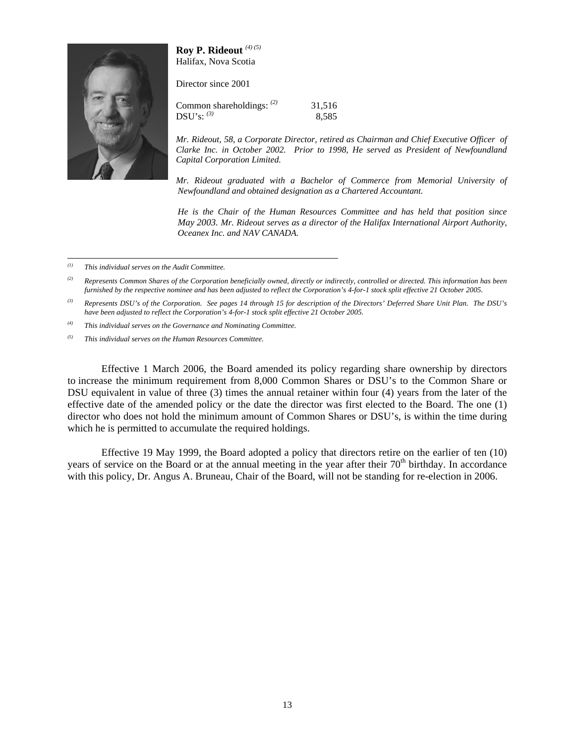#### **Roy P. Rideout** *(4) (5)* Halifax, Nova Scotia

Director since 2001



Common shareholdings:  $^{(2)}$  31,516 DSU's: <sup>(3)</sup> 8,585

*Mr. Rideout, 58, a Corporate Director, retired as Chairman and Chief Executive Officer of Clarke Inc. in October 2002. Prior to 1998, He served as President of Newfoundland Capital Corporation Limited.* 

*Mr. Rideout graduated with a Bachelor of Commerce from Memorial University of Newfoundland and obtained designation as a Chartered Accountant.* 

*He is the Chair of the Human Resources Committee and has held that position since May 2003. Mr. Rideout serves as a director of the Halifax International Airport Authority, Oceanex Inc. and NAV CANADA.* 

*(1) This individual serves on the Audit Committee.* 

*(2) Represents Common Shares of the Corporation beneficially owned, directly or indirectly, controlled or directed. This information has been furnished by the respective nominee and has been adjusted to reflect the Corporation's 4-for-1 stock split effective 21 October 2005.* 

*(3) Represents DSU's of the Corporation. See pages 14 through 15 for description of the Directors' Deferred Share Unit Plan. The DSU's have been adjusted to reflect the Corporation's 4-for-1 stock split effective 21 October 2005.* 

*(4) This individual serves on the Governance and Nominating Committee.* 

*(5) This individual serves on the Human Resources Committee.* 

 Effective 1 March 2006, the Board amended its policy regarding share ownership by directors to increase the minimum requirement from 8,000 Common Shares or DSU's to the Common Share or DSU equivalent in value of three (3) times the annual retainer within four (4) years from the later of the effective date of the amended policy or the date the director was first elected to the Board. The one (1) director who does not hold the minimum amount of Common Shares or DSU's, is within the time during which he is permitted to accumulate the required holdings.

Effective 19 May 1999, the Board adopted a policy that directors retire on the earlier of ten (10) years of service on the Board or at the annual meeting in the year after their 70<sup>th</sup> birthday. In accordance with this policy, Dr. Angus A. Bruneau, Chair of the Board, will not be standing for re-election in 2006.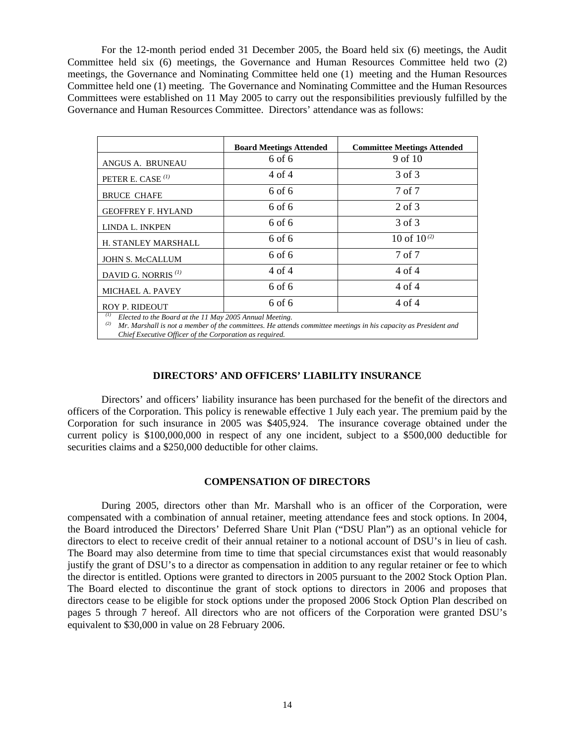For the 12-month period ended 31 December 2005, the Board held six (6) meetings, the Audit Committee held six (6) meetings, the Governance and Human Resources Committee held two (2) meetings, the Governance and Nominating Committee held one (1) meeting and the Human Resources Committee held one (1) meeting. The Governance and Nominating Committee and the Human Resources Committees were established on 11 May 2005 to carry out the responsibilities previously fulfilled by the Governance and Human Resources Committee. Directors' attendance was as follows:

|                                                                                                                                                                                  | <b>Board Meetings Attended</b> | <b>Committee Meetings Attended</b> |  |  |
|----------------------------------------------------------------------------------------------------------------------------------------------------------------------------------|--------------------------------|------------------------------------|--|--|
| ANGUS A. BRUNEAU                                                                                                                                                                 | 6 of 6                         | 9 of 10                            |  |  |
| PETER E. CASE $^{(1)}$                                                                                                                                                           | 4 of 4                         | 3 of 3                             |  |  |
| <b>BRUCE CHAFE</b>                                                                                                                                                               | 6 of 6                         | 7 of 7                             |  |  |
| <b>GEOFFREY F. HYLAND</b>                                                                                                                                                        | 6 of 6                         | 2 of 3                             |  |  |
| LINDA L. INKPEN                                                                                                                                                                  | 6 of 6                         | 3 of 3                             |  |  |
| H. STANLEY MARSHALL                                                                                                                                                              | 6 of 6                         | 10 of $10^{(2)}$                   |  |  |
| <b>JOHN S. McCALLUM</b>                                                                                                                                                          | 6 of 6                         | 7 of 7                             |  |  |
| DAVID G. NORRIS <sup>(1)</sup>                                                                                                                                                   | 4 of 4                         | 4 of 4                             |  |  |
| <b>MICHAEL A. PAVEY</b>                                                                                                                                                          | 6 of 6                         | 4 of 4                             |  |  |
| <b>ROY P. RIDEOUT</b>                                                                                                                                                            | 6 of 6                         | 4 of 4                             |  |  |
| Elected to the Board at the 11 May 2005 Annual Meeting.<br>(2)<br>Mr. Marshall is not a member of the committees. He attends committee meetings in his capacity as President and |                                |                                    |  |  |

*Chief Executive Officer of the Corporation as required.* 

#### **DIRECTORS' AND OFFICERS' LIABILITY INSURANCE**

Directors' and officers' liability insurance has been purchased for the benefit of the directors and officers of the Corporation. This policy is renewable effective 1 July each year. The premium paid by the Corporation for such insurance in 2005 was \$405,924. The insurance coverage obtained under the current policy is \$100,000,000 in respect of any one incident, subject to a \$500,000 deductible for securities claims and a \$250,000 deductible for other claims.

#### **COMPENSATION OF DIRECTORS**

During 2005, directors other than Mr. Marshall who is an officer of the Corporation, were compensated with a combination of annual retainer, meeting attendance fees and stock options. In 2004, the Board introduced the Directors' Deferred Share Unit Plan ("DSU Plan") as an optional vehicle for directors to elect to receive credit of their annual retainer to a notional account of DSU's in lieu of cash. The Board may also determine from time to time that special circumstances exist that would reasonably justify the grant of DSU's to a director as compensation in addition to any regular retainer or fee to which the director is entitled. Options were granted to directors in 2005 pursuant to the 2002 Stock Option Plan. The Board elected to discontinue the grant of stock options to directors in 2006 and proposes that directors cease to be eligible for stock options under the proposed 2006 Stock Option Plan described on pages 5 through 7 hereof. All directors who are not officers of the Corporation were granted DSU's equivalent to \$30,000 in value on 28 February 2006.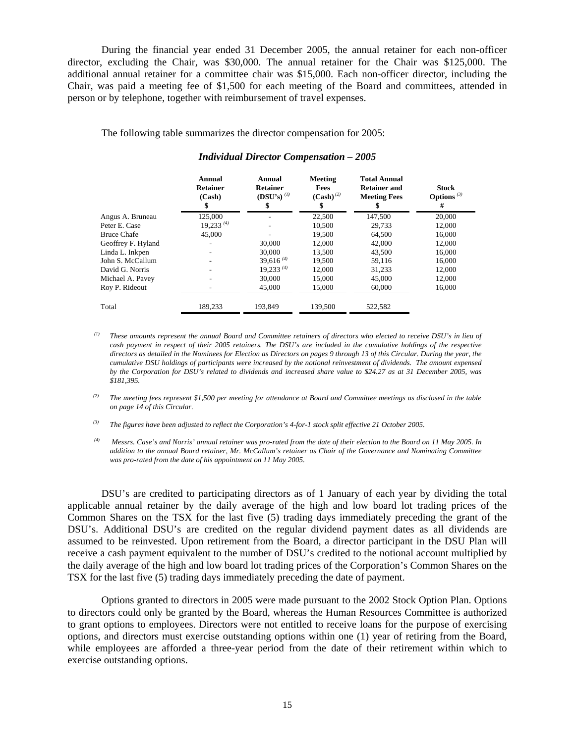During the financial year ended 31 December 2005, the annual retainer for each non-officer director, excluding the Chair, was \$30,000. The annual retainer for the Chair was \$125,000. The additional annual retainer for a committee chair was \$15,000. Each non-officer director, including the Chair, was paid a meeting fee of \$1,500 for each meeting of the Board and committees, attended in person or by telephone, together with reimbursement of travel expenses.

The following table summarizes the director compensation for 2005:

|                    | Annual<br><b>Retainer</b><br>(Cash)<br>\$ | Annual<br><b>Retainer</b><br>$(DSU's)$ <sup>(1)</sup><br>\$ | Meeting<br>Fees<br>$(Cash)^{(2)}$<br>\$ | <b>Total Annual</b><br><b>Retainer and</b><br><b>Meeting Fees</b> | <b>Stock</b><br>Options $(3)$<br># |
|--------------------|-------------------------------------------|-------------------------------------------------------------|-----------------------------------------|-------------------------------------------------------------------|------------------------------------|
| Angus A. Bruneau   | 125,000                                   |                                                             | 22,500                                  | 147,500                                                           | 20,000                             |
| Peter E. Case      | $19,233^{(4)}$                            |                                                             | 10.500                                  | 29.733                                                            | 12,000                             |
| <b>Bruce Chafe</b> | 45,000                                    |                                                             | 19,500                                  | 64,500                                                            | 16,000                             |
| Geoffrey F. Hyland |                                           | 30,000                                                      | 12,000                                  | 42,000                                                            | 12,000                             |
| Linda L. Inkpen    |                                           | 30,000                                                      | 13,500                                  | 43,500                                                            | 16,000                             |
| John S. McCallum   |                                           | 39,616 $(4)$                                                | 19,500                                  | 59,116                                                            | 16,000                             |
| David G. Norris    |                                           | $19,233^{(4)}$                                              | 12,000                                  | 31.233                                                            | 12,000                             |
| Michael A. Pavey   |                                           | 30,000                                                      | 15,000                                  | 45,000                                                            | 12,000                             |
| Roy P. Rideout     |                                           | 45,000                                                      | 15,000                                  | 60,000                                                            | 16,000                             |
| Total              | 189.233                                   | 193.849                                                     | 139,500                                 | 522.582                                                           |                                    |

#### *Individual Director Compensation – 2005*

*(1) These amounts represent the annual Board and Committee retainers of directors who elected to receive DSU's in lieu of cash payment in respect of their 2005 retainers. The DSU's are included in the cumulative holdings of the respective directors as detailed in the Nominees for Election as Directors on pages 9 through 13 of this Circular. During the year, the cumulative DSU holdings of participants were increased by the notional reinvestment of dividends. The amount expensed by the Corporation for DSU's related to dividends and increased share value to \$24.27 as at 31 December 2005, was \$181,395.* 

*(2) The meeting fees represent \$1,500 per meeting for attendance at Board and Committee meetings as disclosed in the table on page 14 of this Circular.* 

*(3) The figures have been adjusted to reflect the Corporation's 4-for-1 stock split effective 21 October 2005.* 

*(4) Messrs. Case's and Norris' annual retainer was pro-rated from the date of their election to the Board on 11 May 2005. In addition to the annual Board retainer, Mr. McCallum's retainer as Chair of the Governance and Nominating Committee was pro-rated from the date of his appointment on 11 May 2005.* 

DSU's are credited to participating directors as of 1 January of each year by dividing the total applicable annual retainer by the daily average of the high and low board lot trading prices of the Common Shares on the TSX for the last five (5) trading days immediately preceding the grant of the DSU's. Additional DSU's are credited on the regular dividend payment dates as all dividends are assumed to be reinvested. Upon retirement from the Board, a director participant in the DSU Plan will receive a cash payment equivalent to the number of DSU's credited to the notional account multiplied by the daily average of the high and low board lot trading prices of the Corporation's Common Shares on the TSX for the last five (5) trading days immediately preceding the date of payment.

Options granted to directors in 2005 were made pursuant to the 2002 Stock Option Plan. Options to directors could only be granted by the Board, whereas the Human Resources Committee is authorized to grant options to employees. Directors were not entitled to receive loans for the purpose of exercising options, and directors must exercise outstanding options within one (1) year of retiring from the Board, while employees are afforded a three-year period from the date of their retirement within which to exercise outstanding options.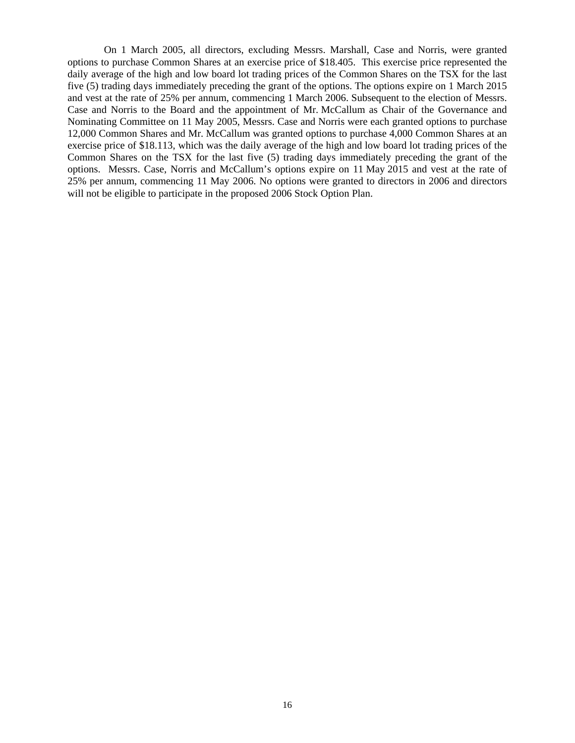On 1 March 2005, all directors, excluding Messrs. Marshall, Case and Norris, were granted options to purchase Common Shares at an exercise price of \$18.405. This exercise price represented the daily average of the high and low board lot trading prices of the Common Shares on the TSX for the last five (5) trading days immediately preceding the grant of the options. The options expire on 1 March 2015 and vest at the rate of 25% per annum, commencing 1 March 2006. Subsequent to the election of Messrs. Case and Norris to the Board and the appointment of Mr. McCallum as Chair of the Governance and Nominating Committee on 11 May 2005, Messrs. Case and Norris were each granted options to purchase 12,000 Common Shares and Mr. McCallum was granted options to purchase 4,000 Common Shares at an exercise price of \$18.113, which was the daily average of the high and low board lot trading prices of the Common Shares on the TSX for the last five (5) trading days immediately preceding the grant of the options. Messrs. Case, Norris and McCallum's options expire on 11 May 2015 and vest at the rate of 25% per annum, commencing 11 May 2006. No options were granted to directors in 2006 and directors will not be eligible to participate in the proposed 2006 Stock Option Plan.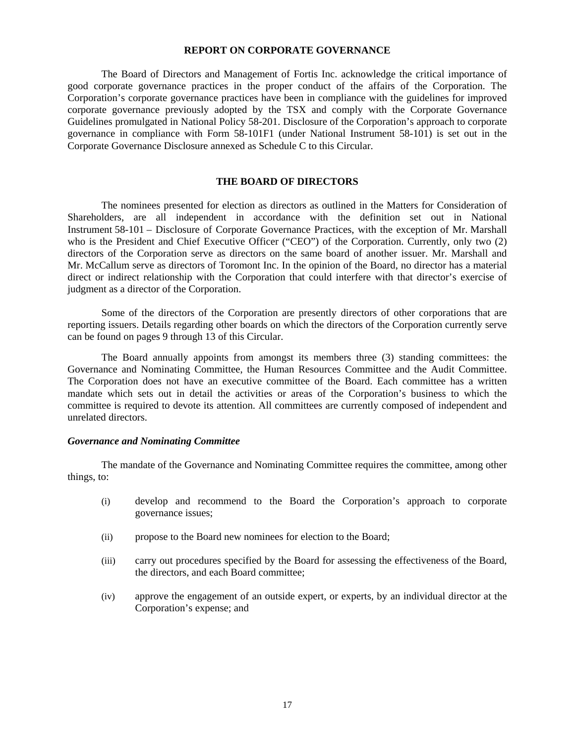#### **REPORT ON CORPORATE GOVERNANCE**

The Board of Directors and Management of Fortis Inc. acknowledge the critical importance of good corporate governance practices in the proper conduct of the affairs of the Corporation. The Corporation's corporate governance practices have been in compliance with the guidelines for improved corporate governance previously adopted by the TSX and comply with the Corporate Governance Guidelines promulgated in National Policy 58-201. Disclosure of the Corporation's approach to corporate governance in compliance with Form 58-101F1 (under National Instrument 58-101) is set out in the Corporate Governance Disclosure annexed as Schedule C to this Circular.

#### **THE BOARD OF DIRECTORS**

The nominees presented for election as directors as outlined in the Matters for Consideration of Shareholders, are all independent in accordance with the definition set out in National Instrument 58-101 – Disclosure of Corporate Governance Practices, with the exception of Mr. Marshall who is the President and Chief Executive Officer ("CEO") of the Corporation. Currently, only two (2) directors of the Corporation serve as directors on the same board of another issuer. Mr. Marshall and Mr. McCallum serve as directors of Toromont Inc. In the opinion of the Board, no director has a material direct or indirect relationship with the Corporation that could interfere with that director's exercise of judgment as a director of the Corporation.

Some of the directors of the Corporation are presently directors of other corporations that are reporting issuers. Details regarding other boards on which the directors of the Corporation currently serve can be found on pages 9 through 13 of this Circular.

 The Board annually appoints from amongst its members three (3) standing committees: the Governance and Nominating Committee, the Human Resources Committee and the Audit Committee. The Corporation does not have an executive committee of the Board. Each committee has a written mandate which sets out in detail the activities or areas of the Corporation's business to which the committee is required to devote its attention. All committees are currently composed of independent and unrelated directors.

#### *Governance and Nominating Committee*

The mandate of the Governance and Nominating Committee requires the committee, among other things, to:

- (i) develop and recommend to the Board the Corporation's approach to corporate governance issues;
- (ii) propose to the Board new nominees for election to the Board;
- (iii) carry out procedures specified by the Board for assessing the effectiveness of the Board, the directors, and each Board committee;
- (iv) approve the engagement of an outside expert, or experts, by an individual director at the Corporation's expense; and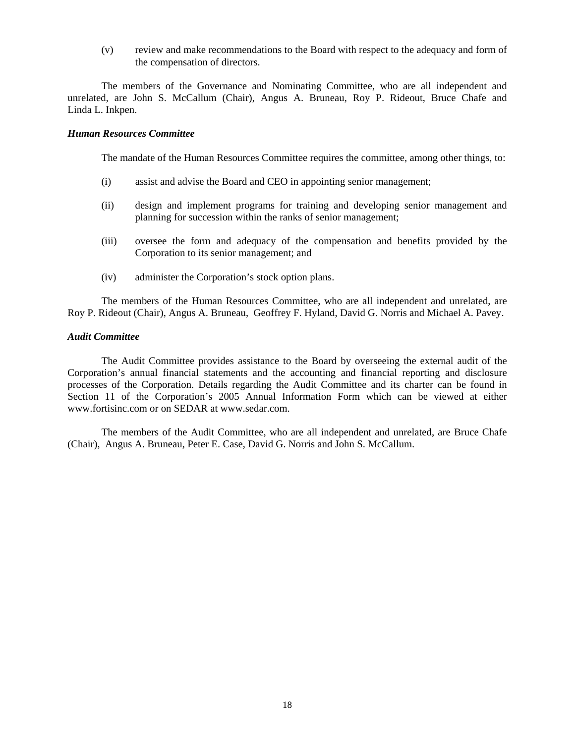(v) review and make recommendations to the Board with respect to the adequacy and form of the compensation of directors.

The members of the Governance and Nominating Committee, who are all independent and unrelated, are John S. McCallum (Chair), Angus A. Bruneau, Roy P. Rideout, Bruce Chafe and Linda L. Inkpen.

#### *Human Resources Committee*

The mandate of the Human Resources Committee requires the committee, among other things, to:

- (i) assist and advise the Board and CEO in appointing senior management;
- (ii) design and implement programs for training and developing senior management and planning for succession within the ranks of senior management;
- (iii) oversee the form and adequacy of the compensation and benefits provided by the Corporation to its senior management; and
- (iv) administer the Corporation's stock option plans.

The members of the Human Resources Committee, who are all independent and unrelated, are Roy P. Rideout (Chair), Angus A. Bruneau, Geoffrey F. Hyland, David G. Norris and Michael A. Pavey.

#### *Audit Committee*

The Audit Committee provides assistance to the Board by overseeing the external audit of the Corporation's annual financial statements and the accounting and financial reporting and disclosure processes of the Corporation. Details regarding the Audit Committee and its charter can be found in Section 11 of the Corporation's 2005 Annual Information Form which can be viewed at either www.fortisinc.com or on SEDAR at www.sedar.com.

The members of the Audit Committee, who are all independent and unrelated, are Bruce Chafe (Chair), Angus A. Bruneau, Peter E. Case, David G. Norris and John S. McCallum.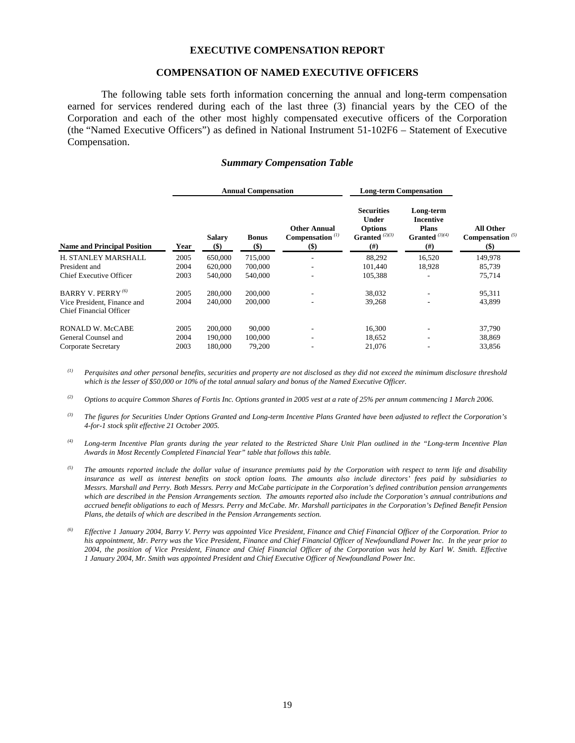#### **EXECUTIVE COMPENSATION REPORT**

#### **COMPENSATION OF NAMED EXECUTIVE OFFICERS**

 The following table sets forth information concerning the annual and long-term compensation earned for services rendered during each of the last three (3) financial years by the CEO of the Corporation and each of the other most highly compensated executive officers of the Corporation (the "Named Executive Officers") as defined in National Instrument 51-102F6 – Statement of Executive Compensation.

#### *Summary Compensation Table*

|      | <b>Annual Compensation</b> |                       |                                                                          | <b>Long-term Compensation</b>                                                   |                                                                               |                                                    |
|------|----------------------------|-----------------------|--------------------------------------------------------------------------|---------------------------------------------------------------------------------|-------------------------------------------------------------------------------|----------------------------------------------------|
| Year | <b>Salary</b><br>$(\$)$    | <b>Bonus</b><br>$($)$ | <b>Other Annual</b><br>Compensation $(1)$<br>$\left( \mathsf{S} \right)$ | <b>Securities</b><br><b>Under</b><br><b>Options</b><br>Granted $(2)(3)$<br>(# ) | Long-term<br><b>Incentive</b><br><b>Plans</b><br>Granted $(3)(4)$<br>$^{(#)}$ | <b>All Other</b><br>Compensation $^{(5)}$<br>$($)$ |
| 2005 | 650,000                    | 715,000               |                                                                          | 88,292                                                                          | 16.520                                                                        | 149,978                                            |
| 2004 | 620,000                    | 700,000               |                                                                          | 101,440                                                                         | 18,928                                                                        | 85,739                                             |
| 2003 | 540,000                    | 540,000               |                                                                          | 105,388                                                                         |                                                                               | 75,714                                             |
| 2005 | 280,000                    | 200,000               | ۰                                                                        | 38,032                                                                          |                                                                               | 95,311                                             |
| 2004 | 240,000                    | 200,000               | ۰                                                                        | 39,268                                                                          | ٠                                                                             | 43,899                                             |
|      |                            |                       |                                                                          |                                                                                 |                                                                               |                                                    |
| 2005 | 200,000                    | 90,000                |                                                                          | 16,300                                                                          |                                                                               | 37,790                                             |
| 2004 | 190,000                    | 100,000               | ٠                                                                        | 18,652                                                                          |                                                                               | 38,869                                             |
| 2003 | 180,000                    | 79,200                |                                                                          | 21,076                                                                          |                                                                               | 33,856                                             |
|      |                            |                       |                                                                          |                                                                                 |                                                                               |                                                    |

*(1) Perquisites and other personal benefits, securities and property are not disclosed as they did not exceed the minimum disclosure threshold which is the lesser of \$50,000 or 10% of the total annual salary and bonus of the Named Executive Officer.* 

*(2) Options to acquire Common Shares of Fortis Inc. Options granted in 2005 vest at a rate of 25% per annum commencing 1 March 2006.* 

- *(3) The figures for Securities Under Options Granted and Long-term Incentive Plans Granted have been adjusted to reflect the Corporation's 4-for-1 stock split effective 21 October 2005.*
- *(4) Long-term Incentive Plan grants during the year related to the Restricted Share Unit Plan outlined in the "Long-term Incentive Plan Awards in Most Recently Completed Financial Year" table that follows this table.*
- *(5) The amounts reported include the dollar value of insurance premiums paid by the Corporation with respect to term life and disability insurance as well as interest benefits on stock option loans. The amounts also include directors' fees paid by subsidiaries to Messrs. Marshall and Perry. Both Messrs. Perry and McCabe participate in the Corporation's defined contribution pension arrangements which are described in the Pension Arrangements section. The amounts reported also include the Corporation's annual contributions and accrued benefit obligations to each of Messrs. Perry and McCabe. Mr. Marshall participates in the Corporation's Defined Benefit Pension Plans, the details of which are described in the Pension Arrangements section.*
- *(6) Effective 1 January 2004, Barry V. Perry was appointed Vice President, Finance and Chief Financial Officer of the Corporation. Prior to his appointment, Mr. Perry was the Vice President, Finance and Chief Financial Officer of Newfoundland Power Inc. In the year prior to 2004, the position of Vice President, Finance and Chief Financial Officer of the Corporation was held by Karl W. Smith. Effective 1 January 2004, Mr. Smith was appointed President and Chief Executive Officer of Newfoundland Power Inc.*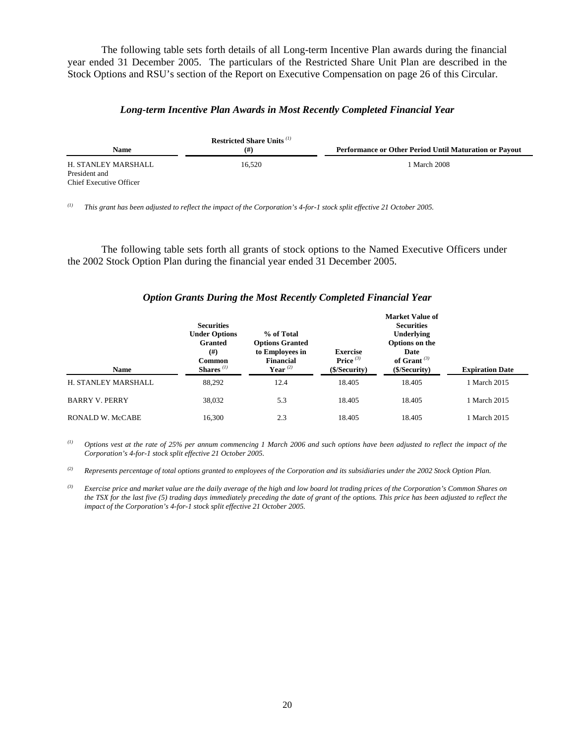The following table sets forth details of all Long-term Incentive Plan awards during the financial year ended 31 December 2005. The particulars of the Restricted Share Unit Plan are described in the Stock Options and RSU's section of the Report on Executive Compensation on page 26 of this Circular.

#### *Long-term Incentive Plan Awards in Most Recently Completed Financial Year*

| Name                                                            | <b>Restricted Share Units</b> <sup>(1)</sup><br>(# ) | Performance or Other Period Until Maturation or Payout |
|-----------------------------------------------------------------|------------------------------------------------------|--------------------------------------------------------|
| H. STANLEY MARSHALL<br>President and<br>Chief Executive Officer | 16.520                                               | 1 March 2008                                           |

*(1) This grant has been adjusted to reflect the impact of the Corporation's 4-for-1 stock split effective 21 October 2005.* 

 The following table sets forth all grants of stock options to the Named Executive Officers under the 2002 Stock Option Plan during the financial year ended 31 December 2005.

#### *Option Grants During the Most Recently Completed Financial Year*

|                         | <b>Securities</b><br><b>Under Options</b><br><b>Granted</b><br>(# )<br><b>Common</b> | % of Total<br><b>Options Granted</b><br>to Employees in<br><b>Financial</b> | <b>Exercise</b><br>Price $(3)$ | <b>Market Value of</b><br><b>Securities</b><br>Underlying<br>Options on the<br>Date<br>of Grant $(3)$ |                        |
|-------------------------|--------------------------------------------------------------------------------------|-----------------------------------------------------------------------------|--------------------------------|-------------------------------------------------------------------------------------------------------|------------------------|
| <b>Name</b>             | Shares $^{(1)}$                                                                      | Year $^{(2)}$                                                               | ( <b>S</b> /Security)          | (\$/Security)                                                                                         | <b>Expiration Date</b> |
| H. STANLEY MARSHALL     | 88,292                                                                               | 12.4                                                                        | 18.405                         | 18.405                                                                                                | 1 March 2015           |
| <b>BARRY V. PERRY</b>   | 38,032                                                                               | 5.3                                                                         | 18.405                         | 18.405                                                                                                | 1 March 2015           |
| <b>RONALD W. McCABE</b> | 16,300                                                                               | 2.3                                                                         | 18.405                         | 18.405                                                                                                | 1 March 2015           |

*(1) Options vest at the rate of 25% per annum commencing 1 March 2006 and such options have been adjusted to reflect the impact of the Corporation's 4-for-1 stock split effective 21 October 2005.* 

*(2) Represents percentage of total options granted to employees of the Corporation and its subsidiaries under the 2002 Stock Option Plan.* 

*(3) Exercise price and market value are the daily average of the high and low board lot trading prices of the Corporation's Common Shares on the TSX for the last five (5) trading days immediately preceding the date of grant of the options. This price has been adjusted to reflect the impact of the Corporation's 4-for-1 stock split effective 21 October 2005.*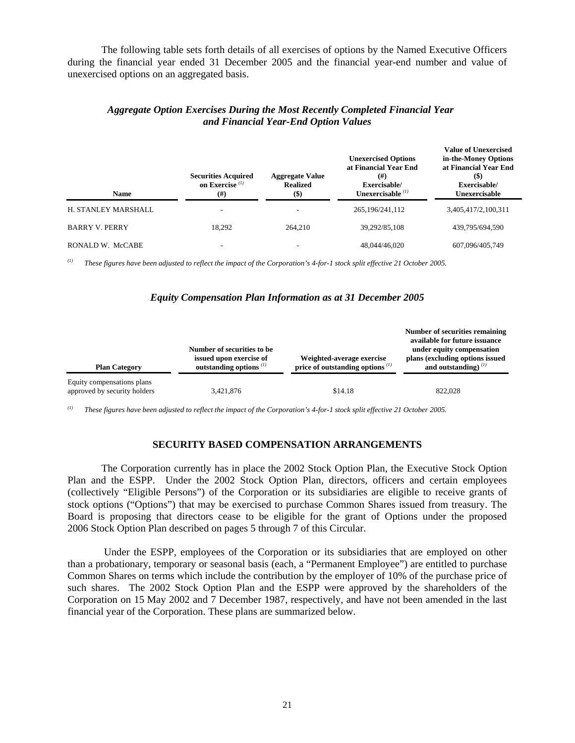The following table sets forth details of all exercises of options by the Named Executive Officers during the financial year ended 31 December 2005 and the financial year-end number and value of unexercised options on an aggregated basis.

| <b>Name</b>           | <b>Securities Acquired</b><br>on Exercise $(1)$<br>$^{(#)}$ | <b>Aggregate Value</b><br><b>Realized</b><br>$($)$ | <b>Unexercised Options</b><br>at Financial Year End<br>$^{(#)}$<br>Exercisable/<br>Unexercisable $\binom{11}{1}$ | <b>Value of Unexercised</b><br>in-the-Money Options<br>at Financial Year End<br>$(\$)$<br>Exercisable/<br>Unexercisable |
|-----------------------|-------------------------------------------------------------|----------------------------------------------------|------------------------------------------------------------------------------------------------------------------|-------------------------------------------------------------------------------------------------------------------------|
| H. STANLEY MARSHALL   |                                                             |                                                    | 265, 196/241, 112                                                                                                | 3,405,417/2,100,311                                                                                                     |
| <b>BARRY V. PERRY</b> | 18.292                                                      | 264,210                                            | 39.292/85.108                                                                                                    | 439,795/694.590                                                                                                         |
| RONALD W. McCABE      |                                                             |                                                    | 48,044/46,020                                                                                                    | 607,096/405,749                                                                                                         |

#### *Aggregate Option Exercises During the Most Recently Completed Financial Year and Financial Year-End Option Values*

*(1) These figures have been adjusted to reflect the impact of the Corporation's 4-for-1 stock split effective 21 October 2005.* 

#### *Equity Compensation Plan Information as at 31 December 2005*

| <b>Plan Category</b>                                       | Number of securities to be<br>issued upon exercise of<br>outstanding options $(1)$ | Weighted-average exercise<br>price of outstanding options $(1)$ | Number of securities remaining<br>available for future issuance<br>under equity compensation<br>plans (excluding options issued<br>and outstanding) $^{(1)}$ |
|------------------------------------------------------------|------------------------------------------------------------------------------------|-----------------------------------------------------------------|--------------------------------------------------------------------------------------------------------------------------------------------------------------|
| Equity compensations plans<br>approved by security holders | 3,421,876                                                                          | \$14.18                                                         | 822,028                                                                                                                                                      |

*(1) These figures have been adjusted to reflect the impact of the Corporation's 4-for-1 stock split effective 21 October 2005.*

#### **SECURITY BASED COMPENSATION ARRANGEMENTS**

The Corporation currently has in place the 2002 Stock Option Plan, the Executive Stock Option Plan and the ESPP. Under the 2002 Stock Option Plan, directors, officers and certain employees (collectively "Eligible Persons") of the Corporation or its subsidiaries are eligible to receive grants of stock options ("Options") that may be exercised to purchase Common Shares issued from treasury. The Board is proposing that directors cease to be eligible for the grant of Options under the proposed 2006 Stock Option Plan described on pages 5 through 7 of this Circular.

 Under the ESPP, employees of the Corporation or its subsidiaries that are employed on other than a probationary, temporary or seasonal basis (each, a "Permanent Employee") are entitled to purchase Common Shares on terms which include the contribution by the employer of 10% of the purchase price of such shares. The 2002 Stock Option Plan and the ESPP were approved by the shareholders of the Corporation on 15 May 2002 and 7 December 1987, respectively, and have not been amended in the last financial year of the Corporation. These plans are summarized below.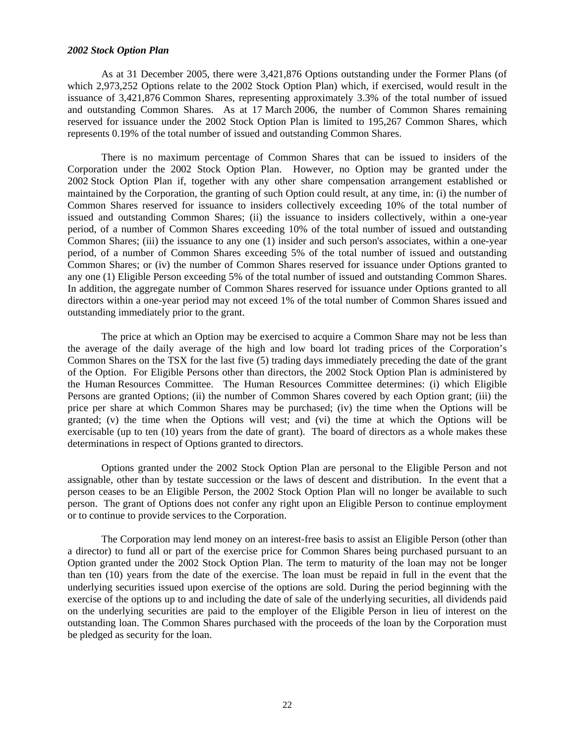#### *2002 Stock Option Plan*

As at 31 December 2005, there were 3,421,876 Options outstanding under the Former Plans (of which 2,973,252 Options relate to the 2002 Stock Option Plan) which, if exercised, would result in the issuance of 3,421,876 Common Shares, representing approximately 3.3% of the total number of issued and outstanding Common Shares. As at 17 March 2006, the number of Common Shares remaining reserved for issuance under the 2002 Stock Option Plan is limited to 195,267 Common Shares, which represents 0.19% of the total number of issued and outstanding Common Shares.

There is no maximum percentage of Common Shares that can be issued to insiders of the Corporation under the 2002 Stock Option Plan. However, no Option may be granted under the 2002 Stock Option Plan if, together with any other share compensation arrangement established or maintained by the Corporation, the granting of such Option could result, at any time, in: (i) the number of Common Shares reserved for issuance to insiders collectively exceeding 10% of the total number of issued and outstanding Common Shares; (ii) the issuance to insiders collectively, within a one-year period, of a number of Common Shares exceeding 10% of the total number of issued and outstanding Common Shares; (iii) the issuance to any one (1) insider and such person's associates, within a one-year period, of a number of Common Shares exceeding 5% of the total number of issued and outstanding Common Shares; or (iv) the number of Common Shares reserved for issuance under Options granted to any one (1) Eligible Person exceeding 5% of the total number of issued and outstanding Common Shares. In addition, the aggregate number of Common Shares reserved for issuance under Options granted to all directors within a one-year period may not exceed 1% of the total number of Common Shares issued and outstanding immediately prior to the grant.

The price at which an Option may be exercised to acquire a Common Share may not be less than the average of the daily average of the high and low board lot trading prices of the Corporation's Common Shares on the TSX for the last five (5) trading days immediately preceding the date of the grant of the Option. For Eligible Persons other than directors, the 2002 Stock Option Plan is administered by the Human Resources Committee. The Human Resources Committee determines: (i) which Eligible Persons are granted Options; (ii) the number of Common Shares covered by each Option grant; (iii) the price per share at which Common Shares may be purchased; (iv) the time when the Options will be granted; (v) the time when the Options will vest; and (vi) the time at which the Options will be exercisable (up to ten (10) years from the date of grant). The board of directors as a whole makes these determinations in respect of Options granted to directors.

Options granted under the 2002 Stock Option Plan are personal to the Eligible Person and not assignable, other than by testate succession or the laws of descent and distribution. In the event that a person ceases to be an Eligible Person, the 2002 Stock Option Plan will no longer be available to such person. The grant of Options does not confer any right upon an Eligible Person to continue employment or to continue to provide services to the Corporation.

The Corporation may lend money on an interest-free basis to assist an Eligible Person (other than a director) to fund all or part of the exercise price for Common Shares being purchased pursuant to an Option granted under the 2002 Stock Option Plan. The term to maturity of the loan may not be longer than ten (10) years from the date of the exercise. The loan must be repaid in full in the event that the underlying securities issued upon exercise of the options are sold. During the period beginning with the exercise of the options up to and including the date of sale of the underlying securities, all dividends paid on the underlying securities are paid to the employer of the Eligible Person in lieu of interest on the outstanding loan. The Common Shares purchased with the proceeds of the loan by the Corporation must be pledged as security for the loan.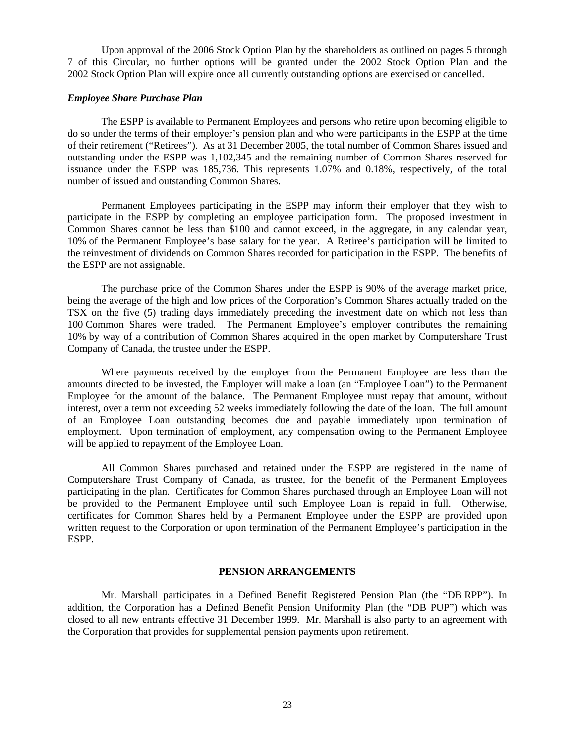Upon approval of the 2006 Stock Option Plan by the shareholders as outlined on pages 5 through 7 of this Circular, no further options will be granted under the 2002 Stock Option Plan and the 2002 Stock Option Plan will expire once all currently outstanding options are exercised or cancelled.

#### *Employee Share Purchase Plan*

The ESPP is available to Permanent Employees and persons who retire upon becoming eligible to do so under the terms of their employer's pension plan and who were participants in the ESPP at the time of their retirement ("Retirees"). As at 31 December 2005, the total number of Common Shares issued and outstanding under the ESPP was 1,102,345 and the remaining number of Common Shares reserved for issuance under the ESPP was 185,736. This represents 1.07% and 0.18%, respectively, of the total number of issued and outstanding Common Shares.

Permanent Employees participating in the ESPP may inform their employer that they wish to participate in the ESPP by completing an employee participation form. The proposed investment in Common Shares cannot be less than \$100 and cannot exceed, in the aggregate, in any calendar year, 10% of the Permanent Employee's base salary for the year. A Retiree's participation will be limited to the reinvestment of dividends on Common Shares recorded for participation in the ESPP. The benefits of the ESPP are not assignable.

The purchase price of the Common Shares under the ESPP is 90% of the average market price, being the average of the high and low prices of the Corporation's Common Shares actually traded on the TSX on the five (5) trading days immediately preceding the investment date on which not less than 100 Common Shares were traded. The Permanent Employee's employer contributes the remaining 10% by way of a contribution of Common Shares acquired in the open market by Computershare Trust Company of Canada, the trustee under the ESPP.

Where payments received by the employer from the Permanent Employee are less than the amounts directed to be invested, the Employer will make a loan (an "Employee Loan") to the Permanent Employee for the amount of the balance. The Permanent Employee must repay that amount, without interest, over a term not exceeding 52 weeks immediately following the date of the loan. The full amount of an Employee Loan outstanding becomes due and payable immediately upon termination of employment. Upon termination of employment, any compensation owing to the Permanent Employee will be applied to repayment of the Employee Loan.

All Common Shares purchased and retained under the ESPP are registered in the name of Computershare Trust Company of Canada, as trustee, for the benefit of the Permanent Employees participating in the plan. Certificates for Common Shares purchased through an Employee Loan will not be provided to the Permanent Employee until such Employee Loan is repaid in full. Otherwise, certificates for Common Shares held by a Permanent Employee under the ESPP are provided upon written request to the Corporation or upon termination of the Permanent Employee's participation in the ESPP.

#### **PENSION ARRANGEMENTS**

Mr. Marshall participates in a Defined Benefit Registered Pension Plan (the "DB RPP"). In addition, the Corporation has a Defined Benefit Pension Uniformity Plan (the "DB PUP") which was closed to all new entrants effective 31 December 1999. Mr. Marshall is also party to an agreement with the Corporation that provides for supplemental pension payments upon retirement.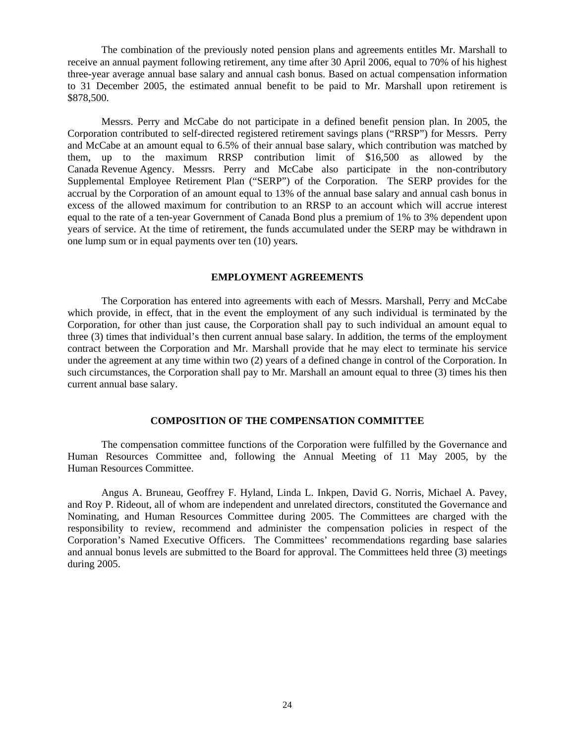The combination of the previously noted pension plans and agreements entitles Mr. Marshall to receive an annual payment following retirement, any time after 30 April 2006, equal to 70% of his highest three-year average annual base salary and annual cash bonus. Based on actual compensation information to 31 December 2005, the estimated annual benefit to be paid to Mr. Marshall upon retirement is \$878,500.

 Messrs. Perry and McCabe do not participate in a defined benefit pension plan. In 2005, the Corporation contributed to self-directed registered retirement savings plans ("RRSP") for Messrs. Perry and McCabe at an amount equal to 6.5% of their annual base salary, which contribution was matched by them, up to the maximum RRSP contribution limit of \$16,500 as allowed by the Canada Revenue Agency. Messrs. Perry and McCabe also participate in the non-contributory Supplemental Employee Retirement Plan ("SERP") of the Corporation. The SERP provides for the accrual by the Corporation of an amount equal to 13% of the annual base salary and annual cash bonus in excess of the allowed maximum for contribution to an RRSP to an account which will accrue interest equal to the rate of a ten-year Government of Canada Bond plus a premium of 1% to 3% dependent upon years of service. At the time of retirement, the funds accumulated under the SERP may be withdrawn in one lump sum or in equal payments over ten (10) years.

#### **EMPLOYMENT AGREEMENTS**

 The Corporation has entered into agreements with each of Messrs. Marshall, Perry and McCabe which provide, in effect, that in the event the employment of any such individual is terminated by the Corporation, for other than just cause, the Corporation shall pay to such individual an amount equal to three (3) times that individual's then current annual base salary. In addition, the terms of the employment contract between the Corporation and Mr. Marshall provide that he may elect to terminate his service under the agreement at any time within two (2) years of a defined change in control of the Corporation. In such circumstances, the Corporation shall pay to Mr. Marshall an amount equal to three (3) times his then current annual base salary.

#### **COMPOSITION OF THE COMPENSATION COMMITTEE**

 The compensation committee functions of the Corporation were fulfilled by the Governance and Human Resources Committee and, following the Annual Meeting of 11 May 2005, by the Human Resources Committee.

Angus A. Bruneau, Geoffrey F. Hyland, Linda L. Inkpen, David G. Norris, Michael A. Pavey, and Roy P. Rideout, all of whom are independent and unrelated directors, constituted the Governance and Nominating, and Human Resources Committee during 2005. The Committees are charged with the responsibility to review, recommend and administer the compensation policies in respect of the Corporation's Named Executive Officers. The Committees' recommendations regarding base salaries and annual bonus levels are submitted to the Board for approval. The Committees held three (3) meetings during 2005.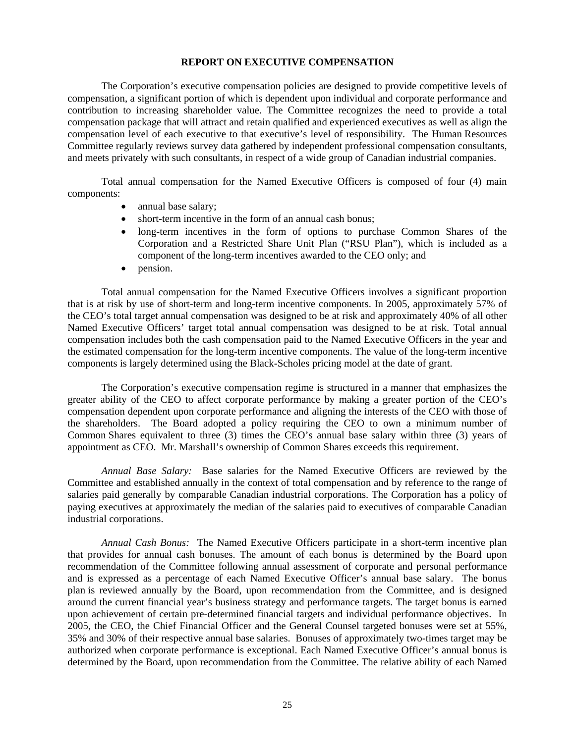#### **REPORT ON EXECUTIVE COMPENSATION**

 The Corporation's executive compensation policies are designed to provide competitive levels of compensation, a significant portion of which is dependent upon individual and corporate performance and contribution to increasing shareholder value. The Committee recognizes the need to provide a total compensation package that will attract and retain qualified and experienced executives as well as align the compensation level of each executive to that executive's level of responsibility. The Human Resources Committee regularly reviews survey data gathered by independent professional compensation consultants, and meets privately with such consultants, in respect of a wide group of Canadian industrial companies.

Total annual compensation for the Named Executive Officers is composed of four (4) main components:

- annual base salary;
- short-term incentive in the form of an annual cash bonus;
- long-term incentives in the form of options to purchase Common Shares of the Corporation and a Restricted Share Unit Plan ("RSU Plan"), which is included as a component of the long-term incentives awarded to the CEO only; and
- pension.

Total annual compensation for the Named Executive Officers involves a significant proportion that is at risk by use of short-term and long-term incentive components. In 2005, approximately 57% of the CEO's total target annual compensation was designed to be at risk and approximately 40% of all other Named Executive Officers' target total annual compensation was designed to be at risk. Total annual compensation includes both the cash compensation paid to the Named Executive Officers in the year and the estimated compensation for the long-term incentive components. The value of the long-term incentive components is largely determined using the Black-Scholes pricing model at the date of grant.

The Corporation's executive compensation regime is structured in a manner that emphasizes the greater ability of the CEO to affect corporate performance by making a greater portion of the CEO's compensation dependent upon corporate performance and aligning the interests of the CEO with those of the shareholders. The Board adopted a policy requiring the CEO to own a minimum number of Common Shares equivalent to three (3) times the CEO's annual base salary within three (3) years of appointment as CEO. Mr. Marshall's ownership of Common Shares exceeds this requirement.

*Annual Base Salary:* Base salaries for the Named Executive Officers are reviewed by the Committee and established annually in the context of total compensation and by reference to the range of salaries paid generally by comparable Canadian industrial corporations. The Corporation has a policy of paying executives at approximately the median of the salaries paid to executives of comparable Canadian industrial corporations.

*Annual Cash Bonus:* The Named Executive Officers participate in a short-term incentive plan that provides for annual cash bonuses. The amount of each bonus is determined by the Board upon recommendation of the Committee following annual assessment of corporate and personal performance and is expressed as a percentage of each Named Executive Officer's annual base salary. The bonus plan is reviewed annually by the Board, upon recommendation from the Committee, and is designed around the current financial year's business strategy and performance targets. The target bonus is earned upon achievement of certain pre-determined financial targets and individual performance objectives. In 2005, the CEO, the Chief Financial Officer and the General Counsel targeted bonuses were set at 55%, 35% and 30% of their respective annual base salaries. Bonuses of approximately two-times target may be authorized when corporate performance is exceptional. Each Named Executive Officer's annual bonus is determined by the Board, upon recommendation from the Committee. The relative ability of each Named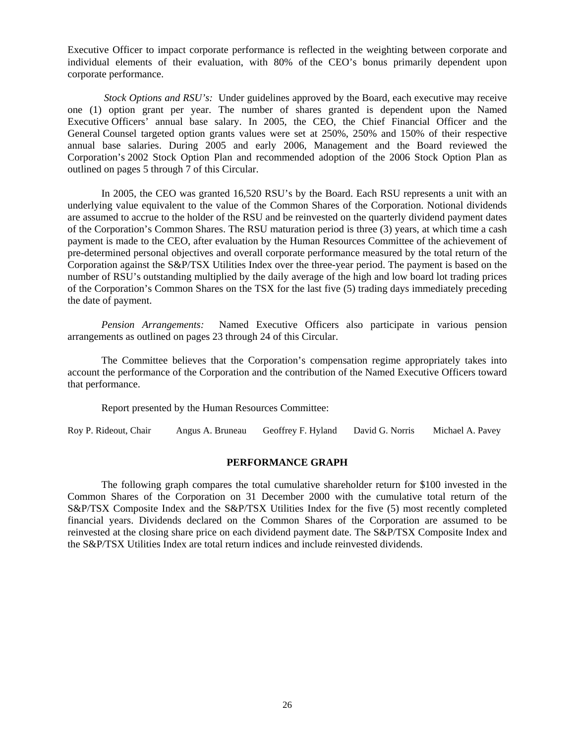Executive Officer to impact corporate performance is reflected in the weighting between corporate and individual elements of their evaluation, with 80% of the CEO's bonus primarily dependent upon corporate performance.

 *Stock Options and RSU's:* Under guidelines approved by the Board, each executive may receive one (1) option grant per year. The number of shares granted is dependent upon the Named Executive Officers' annual base salary. In 2005, the CEO, the Chief Financial Officer and the General Counsel targeted option grants values were set at 250%, 250% and 150% of their respective annual base salaries. During 2005 and early 2006, Management and the Board reviewed the Corporation's 2002 Stock Option Plan and recommended adoption of the 2006 Stock Option Plan as outlined on pages 5 through 7 of this Circular.

In 2005, the CEO was granted 16,520 RSU's by the Board. Each RSU represents a unit with an underlying value equivalent to the value of the Common Shares of the Corporation. Notional dividends are assumed to accrue to the holder of the RSU and be reinvested on the quarterly dividend payment dates of the Corporation's Common Shares. The RSU maturation period is three (3) years, at which time a cash payment is made to the CEO, after evaluation by the Human Resources Committee of the achievement of pre-determined personal objectives and overall corporate performance measured by the total return of the Corporation against the S&P/TSX Utilities Index over the three-year period. The payment is based on the number of RSU's outstanding multiplied by the daily average of the high and low board lot trading prices of the Corporation's Common Shares on the TSX for the last five (5) trading days immediately preceding the date of payment.

*Pension Arrangements:* Named Executive Officers also participate in various pension arrangements as outlined on pages 23 through 24 of this Circular.

 The Committee believes that the Corporation's compensation regime appropriately takes into account the performance of the Corporation and the contribution of the Named Executive Officers toward that performance.

Report presented by the Human Resources Committee:

Roy P. Rideout, Chair Angus A. Bruneau Geoffrey F. Hyland David G. Norris Michael A. Pavey

#### **PERFORMANCE GRAPH**

 The following graph compares the total cumulative shareholder return for \$100 invested in the Common Shares of the Corporation on 31 December 2000 with the cumulative total return of the S&P/TSX Composite Index and the S&P/TSX Utilities Index for the five (5) most recently completed financial years. Dividends declared on the Common Shares of the Corporation are assumed to be reinvested at the closing share price on each dividend payment date. The S&P/TSX Composite Index and the S&P/TSX Utilities Index are total return indices and include reinvested dividends.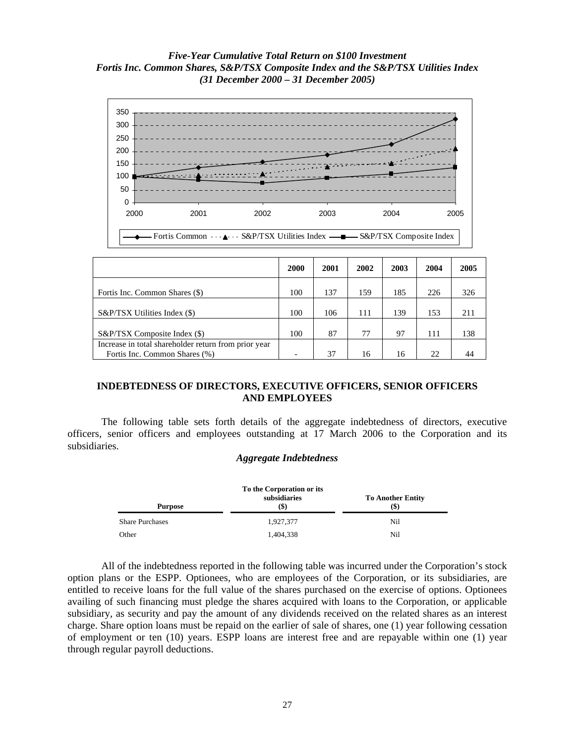#### *Five-Year Cumulative Total Return on \$100 Investment Fortis Inc. Common Shares, S&P/TSX Composite Index and the S&P/TSX Utilities Index (31 December 2000 – 31 December 2005)*



|                                                                                       | 2000 | 2001 | 2002 | 2003 | 2004 | 2005 |
|---------------------------------------------------------------------------------------|------|------|------|------|------|------|
| Fortis Inc. Common Shares (\$)                                                        | 100  | 137  | 159  | 185  | 226  | 326  |
| S&P/TSX Utilities Index (\$)                                                          | 100  | 106  | 111  | 139  | 153  | 211  |
| S&P/TSX Composite Index (\$)                                                          | 100  | 87   | 77   | 97   | 111  | 138  |
| Increase in total shareholder return from prior year<br>Fortis Inc. Common Shares (%) |      | 37   | 16   | 16   | 22   | 44   |

#### **INDEBTEDNESS OF DIRECTORS, EXECUTIVE OFFICERS, SENIOR OFFICERS AND EMPLOYEES**

 The following table sets forth details of the aggregate indebtedness of directors, executive officers, senior officers and employees outstanding at 17 March 2006 to the Corporation and its subsidiaries.

#### *Aggregate Indebtedness*

| To the Corporation or its |                      |                                  |  |  |
|---------------------------|----------------------|----------------------------------|--|--|
| <b>Purpose</b>            | subsidiaries<br>(\$) | <b>To Another Entity</b><br>(\$) |  |  |
| <b>Share Purchases</b>    | 1,927,377            | Nil                              |  |  |
| Other                     | 1.404.338            | Nil                              |  |  |

All of the indebtedness reported in the following table was incurred under the Corporation's stock option plans or the ESPP. Optionees, who are employees of the Corporation, or its subsidiaries, are entitled to receive loans for the full value of the shares purchased on the exercise of options. Optionees availing of such financing must pledge the shares acquired with loans to the Corporation, or applicable subsidiary, as security and pay the amount of any dividends received on the related shares as an interest charge. Share option loans must be repaid on the earlier of sale of shares, one (1) year following cessation of employment or ten (10) years. ESPP loans are interest free and are repayable within one (1) year through regular payroll deductions.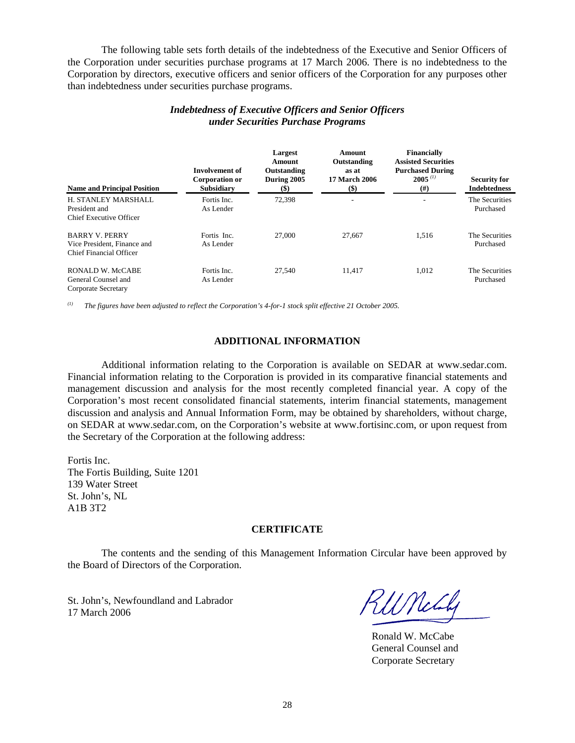The following table sets forth details of the indebtedness of the Executive and Senior Officers of the Corporation under securities purchase programs at 17 March 2006. There is no indebtedness to the Corporation by directors, executive officers and senior officers of the Corporation for any purposes other than indebtedness under securities purchase programs.

| <b>Name and Principal Position</b>                                              | <b>Involvement of</b><br>Corporation or<br>Subsidiary | Largest<br>Amount<br>Outstanding<br>During 2005<br>$\left( \text{\$}\right)$ | Amount<br>Outstanding<br>as at<br><b>17 March 2006</b><br>$(\$)$ | <b>Financially</b><br><b>Assisted Securities</b><br><b>Purchased During</b><br>$2005^{(1)}$<br>$^{(#)}$ | <b>Security for</b><br><b>Indebtedness</b> |
|---------------------------------------------------------------------------------|-------------------------------------------------------|------------------------------------------------------------------------------|------------------------------------------------------------------|---------------------------------------------------------------------------------------------------------|--------------------------------------------|
| H. STANLEY MARSHALL<br>President and<br>Chief Executive Officer                 | Fortis Inc.<br>As Lender                              | 72,398                                                                       | -                                                                |                                                                                                         | The Securities<br>Purchased                |
| <b>BARRY V. PERRY</b><br>Vice President, Finance and<br>Chief Financial Officer | Fortis Inc.<br>As Lender                              | 27,000                                                                       | 27,667                                                           | 1.516                                                                                                   | The Securities<br>Purchased                |
| <b>RONALD W. McCABE</b><br>General Counsel and<br>Corporate Secretary           | Fortis Inc.<br>As Lender                              | 27.540                                                                       | 11.417                                                           | 1.012                                                                                                   | The Securities<br>Purchased                |

#### *Indebtedness of Executive Officers and Senior Officers under Securities Purchase Programs*

*(1) The figures have been adjusted to reflect the Corporation's 4-for-1 stock split effective 21 October 2005.* 

#### **ADDITIONAL INFORMATION**

Additional information relating to the Corporation is available on SEDAR at www.sedar.com. Financial information relating to the Corporation is provided in its comparative financial statements and management discussion and analysis for the most recently completed financial year. A copy of the Corporation's most recent consolidated financial statements, interim financial statements, management discussion and analysis and Annual Information Form, may be obtained by shareholders, without charge, on SEDAR at www.sedar.com, on the Corporation's website at www.fortisinc.com, or upon request from the Secretary of the Corporation at the following address:

Fortis Inc. The Fortis Building, Suite 1201 139 Water Street St. John's, NL A1B 3T2

#### **CERTIFICATE**

 The contents and the sending of this Management Information Circular have been approved by the Board of Directors of the Corporation.

St. John's, Newfoundland and Labrador St. John's, Newfoundland and Labrador  $\mathcal{H}$   $\mathcal{H}$   $\mathcal{H}$ 

Ronald W. McCabe General Counsel and Corporate Secretary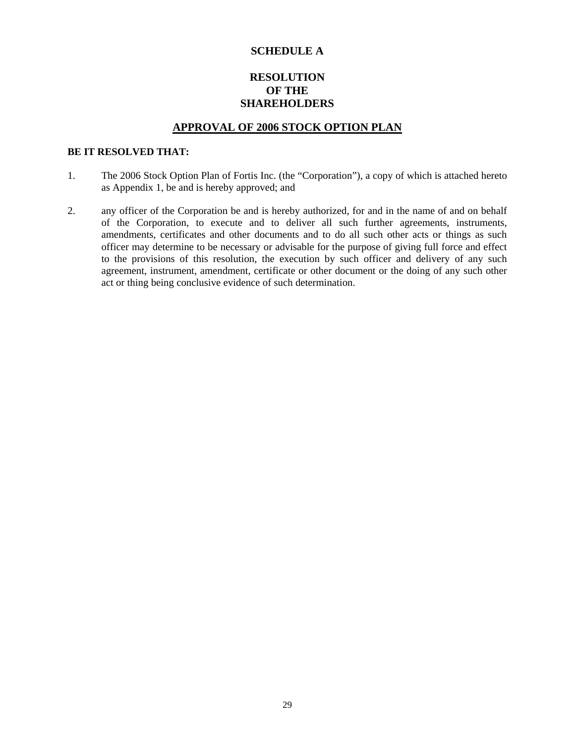#### **SCHEDULE A**

#### **RESOLUTION OF THE SHAREHOLDERS**

#### **APPROVAL OF 2006 STOCK OPTION PLAN**

#### **BE IT RESOLVED THAT:**

- 1. The 2006 Stock Option Plan of Fortis Inc. (the "Corporation"), a copy of which is attached hereto as Appendix 1, be and is hereby approved; and
- 2. any officer of the Corporation be and is hereby authorized, for and in the name of and on behalf of the Corporation, to execute and to deliver all such further agreements, instruments, amendments, certificates and other documents and to do all such other acts or things as such officer may determine to be necessary or advisable for the purpose of giving full force and effect to the provisions of this resolution, the execution by such officer and delivery of any such agreement, instrument, amendment, certificate or other document or the doing of any such other act or thing being conclusive evidence of such determination.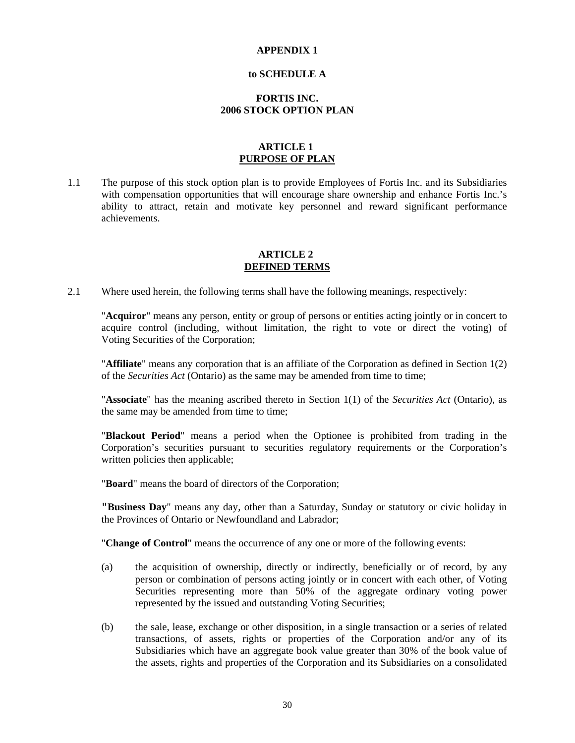#### **APPENDIX 1**

#### **to SCHEDULE A**

#### **FORTIS INC. 2006 STOCK OPTION PLAN**

#### **ARTICLE 1 PURPOSE OF PLAN**

1.1 The purpose of this stock option plan is to provide Employees of Fortis Inc. and its Subsidiaries with compensation opportunities that will encourage share ownership and enhance Fortis Inc.'s ability to attract, retain and motivate key personnel and reward significant performance achievements.

#### **ARTICLE 2 DEFINED TERMS**

2.1 Where used herein, the following terms shall have the following meanings, respectively:

 "**Acquiror**" means any person, entity or group of persons or entities acting jointly or in concert to acquire control (including, without limitation, the right to vote or direct the voting) of Voting Securities of the Corporation;

 "**Affiliate**" means any corporation that is an affiliate of the Corporation as defined in Section 1(2) of the *Securities Act* (Ontario) as the same may be amended from time to time;

 "**Associate**" has the meaning ascribed thereto in Section 1(1) of the *Securities Act* (Ontario), as the same may be amended from time to time;

 "**Blackout Period**" means a period when the Optionee is prohibited from trading in the Corporation's securities pursuant to securities regulatory requirements or the Corporation's written policies then applicable;

"**Board**" means the board of directors of the Corporation;

 "**Business Day**" means any day, other than a Saturday, Sunday or statutory or civic holiday in the Provinces of Ontario or Newfoundland and Labrador;

"**Change of Control**" means the occurrence of any one or more of the following events:

- (a) the acquisition of ownership, directly or indirectly, beneficially or of record, by any person or combination of persons acting jointly or in concert with each other, of Voting Securities representing more than 50% of the aggregate ordinary voting power represented by the issued and outstanding Voting Securities;
- (b) the sale, lease, exchange or other disposition, in a single transaction or a series of related transactions, of assets, rights or properties of the Corporation and/or any of its Subsidiaries which have an aggregate book value greater than 30% of the book value of the assets, rights and properties of the Corporation and its Subsidiaries on a consolidated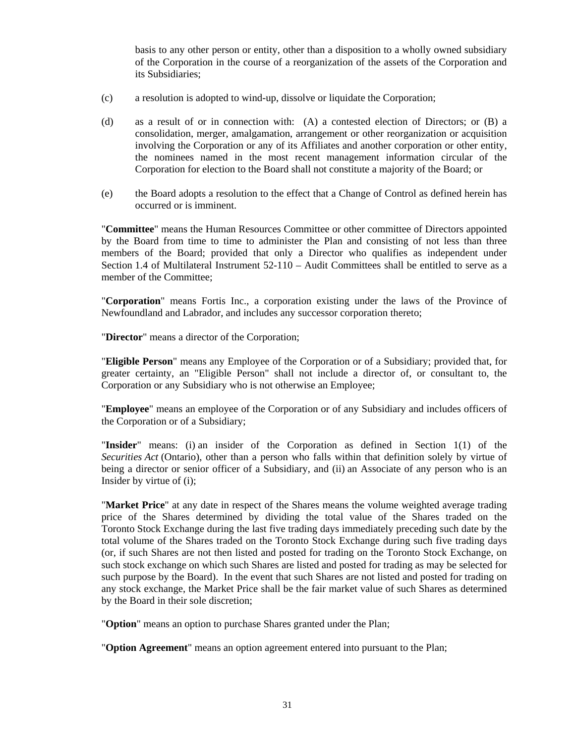basis to any other person or entity, other than a disposition to a wholly owned subsidiary of the Corporation in the course of a reorganization of the assets of the Corporation and its Subsidiaries;

- (c) a resolution is adopted to wind-up, dissolve or liquidate the Corporation;
- (d) as a result of or in connection with: (A) a contested election of Directors; or (B) a consolidation, merger, amalgamation, arrangement or other reorganization or acquisition involving the Corporation or any of its Affiliates and another corporation or other entity, the nominees named in the most recent management information circular of the Corporation for election to the Board shall not constitute a majority of the Board; or
- (e) the Board adopts a resolution to the effect that a Change of Control as defined herein has occurred or is imminent.

 "**Committee**" means the Human Resources Committee or other committee of Directors appointed by the Board from time to time to administer the Plan and consisting of not less than three members of the Board; provided that only a Director who qualifies as independent under Section 1.4 of Multilateral Instrument 52-110 – Audit Committees shall be entitled to serve as a member of the Committee;

 "**Corporation**" means Fortis Inc., a corporation existing under the laws of the Province of Newfoundland and Labrador, and includes any successor corporation thereto;

"**Director**" means a director of the Corporation;

 "**Eligible Person**" means any Employee of the Corporation or of a Subsidiary; provided that, for greater certainty, an "Eligible Person" shall not include a director of, or consultant to, the Corporation or any Subsidiary who is not otherwise an Employee;

 "**Employee**" means an employee of the Corporation or of any Subsidiary and includes officers of the Corporation or of a Subsidiary;

 "**Insider**" means: (i) an insider of the Corporation as defined in Section 1(1) of the *Securities Act* (Ontario), other than a person who falls within that definition solely by virtue of being a director or senior officer of a Subsidiary, and (ii) an Associate of any person who is an Insider by virtue of (i);

 "**Market Price**" at any date in respect of the Shares means the volume weighted average trading price of the Shares determined by dividing the total value of the Shares traded on the Toronto Stock Exchange during the last five trading days immediately preceding such date by the total volume of the Shares traded on the Toronto Stock Exchange during such five trading days (or, if such Shares are not then listed and posted for trading on the Toronto Stock Exchange, on such stock exchange on which such Shares are listed and posted for trading as may be selected for such purpose by the Board). In the event that such Shares are not listed and posted for trading on any stock exchange, the Market Price shall be the fair market value of such Shares as determined by the Board in their sole discretion;

"**Option**" means an option to purchase Shares granted under the Plan;

"**Option Agreement**" means an option agreement entered into pursuant to the Plan;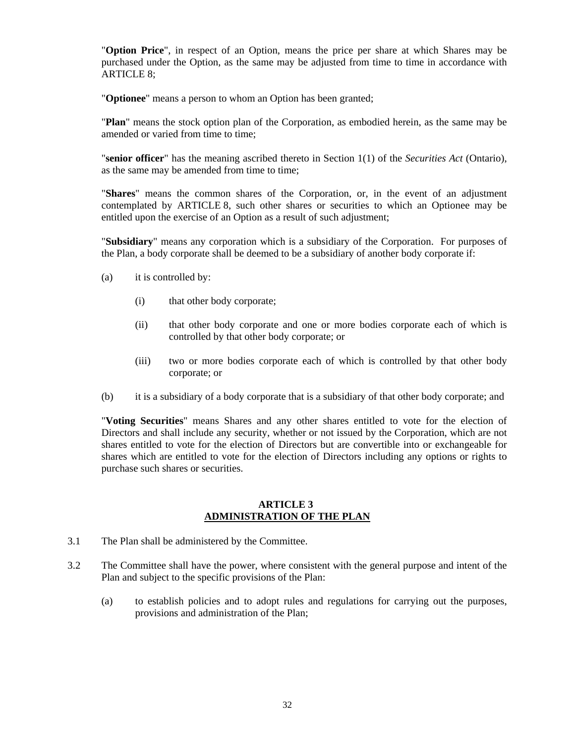"**Option Price**", in respect of an Option, means the price per share at which Shares may be purchased under the Option, as the same may be adjusted from time to time in accordance with ARTICLE 8;

"**Optionee**" means a person to whom an Option has been granted;

 "**Plan**" means the stock option plan of the Corporation, as embodied herein, as the same may be amended or varied from time to time;

 "**senior officer**" has the meaning ascribed thereto in Section 1(1) of the *Securities Act* (Ontario), as the same may be amended from time to time;

 "**Shares**" means the common shares of the Corporation, or, in the event of an adjustment contemplated by ARTICLE 8, such other shares or securities to which an Optionee may be entitled upon the exercise of an Option as a result of such adjustment;

 "**Subsidiary**" means any corporation which is a subsidiary of the Corporation. For purposes of the Plan, a body corporate shall be deemed to be a subsidiary of another body corporate if:

- (a) it is controlled by:
	- (i) that other body corporate;
	- (ii) that other body corporate and one or more bodies corporate each of which is controlled by that other body corporate; or
	- (iii) two or more bodies corporate each of which is controlled by that other body corporate; or
- (b) it is a subsidiary of a body corporate that is a subsidiary of that other body corporate; and

"**Voting Securities**" means Shares and any other shares entitled to vote for the election of Directors and shall include any security, whether or not issued by the Corporation, which are not shares entitled to vote for the election of Directors but are convertible into or exchangeable for shares which are entitled to vote for the election of Directors including any options or rights to purchase such shares or securities.

#### **ARTICLE 3 ADMINISTRATION OF THE PLAN**

- 3.1 The Plan shall be administered by the Committee.
- 3.2 The Committee shall have the power, where consistent with the general purpose and intent of the Plan and subject to the specific provisions of the Plan:
	- (a) to establish policies and to adopt rules and regulations for carrying out the purposes, provisions and administration of the Plan;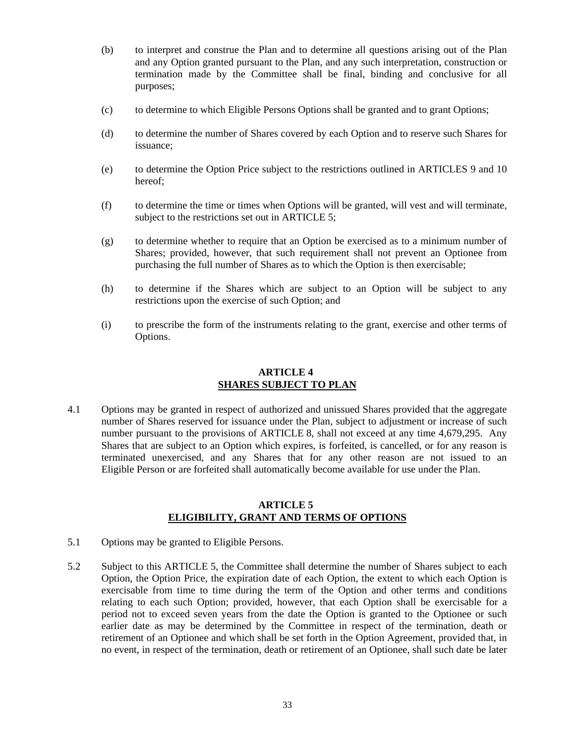- (b) to interpret and construe the Plan and to determine all questions arising out of the Plan and any Option granted pursuant to the Plan, and any such interpretation, construction or termination made by the Committee shall be final, binding and conclusive for all purposes;
- (c) to determine to which Eligible Persons Options shall be granted and to grant Options;
- (d) to determine the number of Shares covered by each Option and to reserve such Shares for issuance;
- (e) to determine the Option Price subject to the restrictions outlined in ARTICLES 9 and 10 hereof;
- (f) to determine the time or times when Options will be granted, will vest and will terminate, subject to the restrictions set out in ARTICLE 5;
- (g) to determine whether to require that an Option be exercised as to a minimum number of Shares; provided, however, that such requirement shall not prevent an Optionee from purchasing the full number of Shares as to which the Option is then exercisable;
- (h) to determine if the Shares which are subject to an Option will be subject to any restrictions upon the exercise of such Option; and
- (i) to prescribe the form of the instruments relating to the grant, exercise and other terms of Options.

#### **ARTICLE 4 SHARES SUBJECT TO PLAN**

4.1 Options may be granted in respect of authorized and unissued Shares provided that the aggregate number of Shares reserved for issuance under the Plan, subject to adjustment or increase of such number pursuant to the provisions of ARTICLE 8, shall not exceed at any time 4,679,295. Any Shares that are subject to an Option which expires, is forfeited, is cancelled, or for any reason is terminated unexercised, and any Shares that for any other reason are not issued to an Eligible Person or are forfeited shall automatically become available for use under the Plan.

#### **ARTICLE 5 ELIGIBILITY, GRANT AND TERMS OF OPTIONS**

- 5.1 Options may be granted to Eligible Persons.
- 5.2 Subject to this ARTICLE 5, the Committee shall determine the number of Shares subject to each Option, the Option Price, the expiration date of each Option, the extent to which each Option is exercisable from time to time during the term of the Option and other terms and conditions relating to each such Option; provided, however, that each Option shall be exercisable for a period not to exceed seven years from the date the Option is granted to the Optionee or such earlier date as may be determined by the Committee in respect of the termination, death or retirement of an Optionee and which shall be set forth in the Option Agreement, provided that, in no event, in respect of the termination, death or retirement of an Optionee, shall such date be later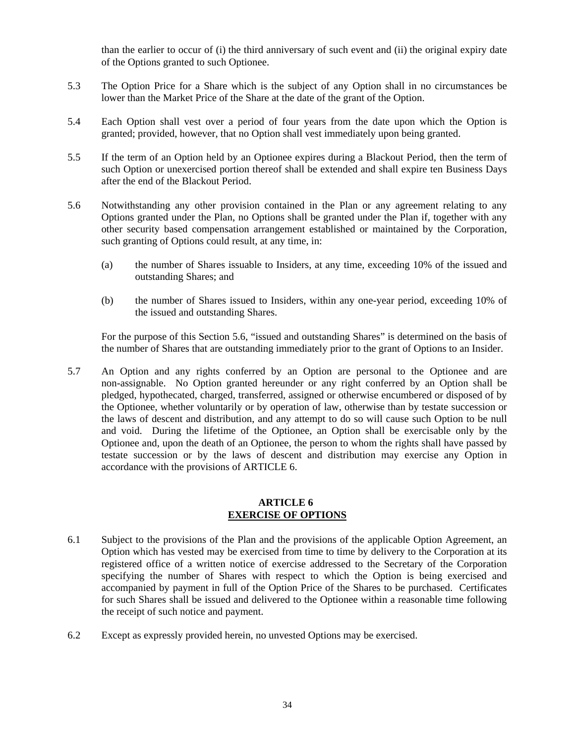than the earlier to occur of (i) the third anniversary of such event and (ii) the original expiry date of the Options granted to such Optionee.

- 5.3 The Option Price for a Share which is the subject of any Option shall in no circumstances be lower than the Market Price of the Share at the date of the grant of the Option.
- 5.4 Each Option shall vest over a period of four years from the date upon which the Option is granted; provided, however, that no Option shall vest immediately upon being granted.
- 5.5 If the term of an Option held by an Optionee expires during a Blackout Period, then the term of such Option or unexercised portion thereof shall be extended and shall expire ten Business Days after the end of the Blackout Period.
- 5.6 Notwithstanding any other provision contained in the Plan or any agreement relating to any Options granted under the Plan, no Options shall be granted under the Plan if, together with any other security based compensation arrangement established or maintained by the Corporation, such granting of Options could result, at any time, in:
	- (a) the number of Shares issuable to Insiders, at any time, exceeding 10% of the issued and outstanding Shares; and
	- (b) the number of Shares issued to Insiders, within any one-year period, exceeding 10% of the issued and outstanding Shares.

For the purpose of this Section 5.6, "issued and outstanding Shares" is determined on the basis of the number of Shares that are outstanding immediately prior to the grant of Options to an Insider.

5.7 An Option and any rights conferred by an Option are personal to the Optionee and are non-assignable. No Option granted hereunder or any right conferred by an Option shall be pledged, hypothecated, charged, transferred, assigned or otherwise encumbered or disposed of by the Optionee, whether voluntarily or by operation of law, otherwise than by testate succession or the laws of descent and distribution, and any attempt to do so will cause such Option to be null and void. During the lifetime of the Optionee, an Option shall be exercisable only by the Optionee and, upon the death of an Optionee, the person to whom the rights shall have passed by testate succession or by the laws of descent and distribution may exercise any Option in accordance with the provisions of ARTICLE 6.

#### **ARTICLE 6 EXERCISE OF OPTIONS**

- 6.1 Subject to the provisions of the Plan and the provisions of the applicable Option Agreement, an Option which has vested may be exercised from time to time by delivery to the Corporation at its registered office of a written notice of exercise addressed to the Secretary of the Corporation specifying the number of Shares with respect to which the Option is being exercised and accompanied by payment in full of the Option Price of the Shares to be purchased. Certificates for such Shares shall be issued and delivered to the Optionee within a reasonable time following the receipt of such notice and payment.
- 6.2 Except as expressly provided herein, no unvested Options may be exercised.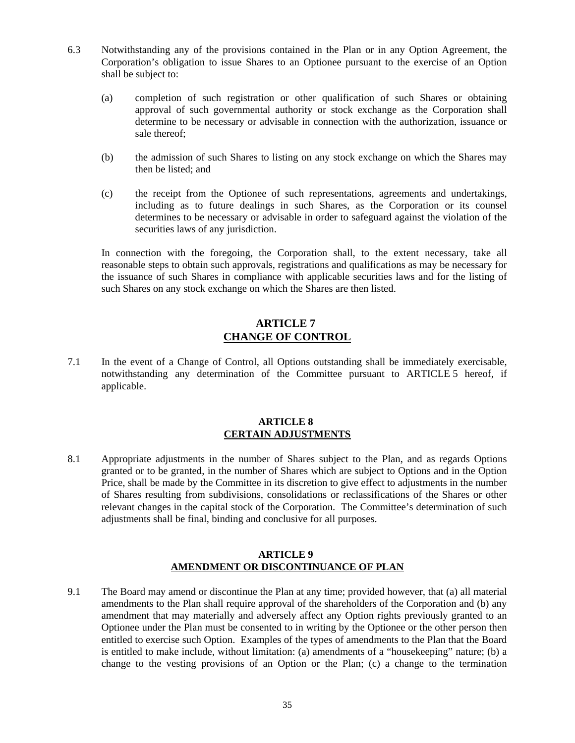- 6.3 Notwithstanding any of the provisions contained in the Plan or in any Option Agreement, the Corporation's obligation to issue Shares to an Optionee pursuant to the exercise of an Option shall be subject to:
	- (a) completion of such registration or other qualification of such Shares or obtaining approval of such governmental authority or stock exchange as the Corporation shall determine to be necessary or advisable in connection with the authorization, issuance or sale thereof;
	- (b) the admission of such Shares to listing on any stock exchange on which the Shares may then be listed; and
	- (c) the receipt from the Optionee of such representations, agreements and undertakings, including as to future dealings in such Shares, as the Corporation or its counsel determines to be necessary or advisable in order to safeguard against the violation of the securities laws of any jurisdiction.

In connection with the foregoing, the Corporation shall, to the extent necessary, take all reasonable steps to obtain such approvals, registrations and qualifications as may be necessary for the issuance of such Shares in compliance with applicable securities laws and for the listing of such Shares on any stock exchange on which the Shares are then listed.

#### **ARTICLE 7 CHANGE OF CONTROL**

7.1 In the event of a Change of Control, all Options outstanding shall be immediately exercisable, notwithstanding any determination of the Committee pursuant to ARTICLE 5 hereof, if applicable.

#### **ARTICLE 8 CERTAIN ADJUSTMENTS**

8.1 Appropriate adjustments in the number of Shares subject to the Plan, and as regards Options granted or to be granted, in the number of Shares which are subject to Options and in the Option Price, shall be made by the Committee in its discretion to give effect to adjustments in the number of Shares resulting from subdivisions, consolidations or reclassifications of the Shares or other relevant changes in the capital stock of the Corporation. The Committee's determination of such adjustments shall be final, binding and conclusive for all purposes.

#### **ARTICLE 9 AMENDMENT OR DISCONTINUANCE OF PLAN**

9.1 The Board may amend or discontinue the Plan at any time; provided however, that (a) all material amendments to the Plan shall require approval of the shareholders of the Corporation and (b) any amendment that may materially and adversely affect any Option rights previously granted to an Optionee under the Plan must be consented to in writing by the Optionee or the other person then entitled to exercise such Option. Examples of the types of amendments to the Plan that the Board is entitled to make include, without limitation: (a) amendments of a "housekeeping" nature; (b) a change to the vesting provisions of an Option or the Plan; (c) a change to the termination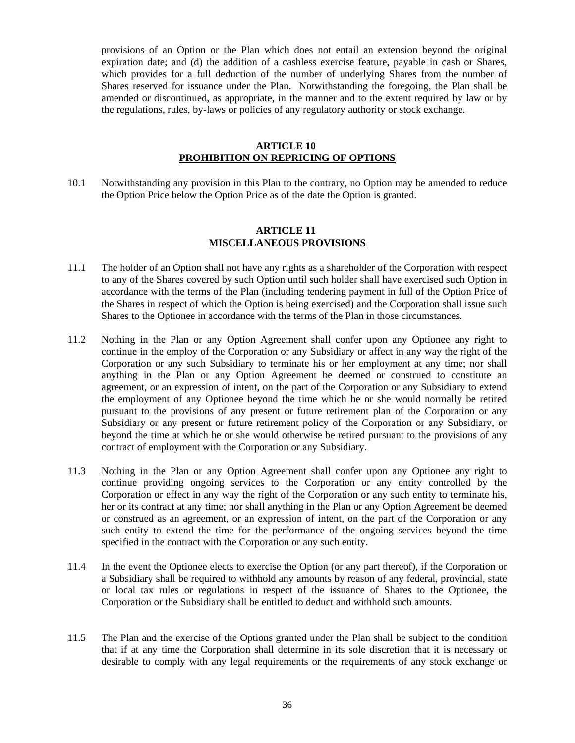provisions of an Option or the Plan which does not entail an extension beyond the original expiration date; and (d) the addition of a cashless exercise feature, payable in cash or Shares, which provides for a full deduction of the number of underlying Shares from the number of Shares reserved for issuance under the Plan. Notwithstanding the foregoing, the Plan shall be amended or discontinued, as appropriate, in the manner and to the extent required by law or by the regulations, rules, by-laws or policies of any regulatory authority or stock exchange.

#### **ARTICLE 10 PROHIBITION ON REPRICING OF OPTIONS**

10.1 Notwithstanding any provision in this Plan to the contrary, no Option may be amended to reduce the Option Price below the Option Price as of the date the Option is granted.

#### **ARTICLE 11 MISCELLANEOUS PROVISIONS**

- 11.1 The holder of an Option shall not have any rights as a shareholder of the Corporation with respect to any of the Shares covered by such Option until such holder shall have exercised such Option in accordance with the terms of the Plan (including tendering payment in full of the Option Price of the Shares in respect of which the Option is being exercised) and the Corporation shall issue such Shares to the Optionee in accordance with the terms of the Plan in those circumstances.
- 11.2 Nothing in the Plan or any Option Agreement shall confer upon any Optionee any right to continue in the employ of the Corporation or any Subsidiary or affect in any way the right of the Corporation or any such Subsidiary to terminate his or her employment at any time; nor shall anything in the Plan or any Option Agreement be deemed or construed to constitute an agreement, or an expression of intent, on the part of the Corporation or any Subsidiary to extend the employment of any Optionee beyond the time which he or she would normally be retired pursuant to the provisions of any present or future retirement plan of the Corporation or any Subsidiary or any present or future retirement policy of the Corporation or any Subsidiary, or beyond the time at which he or she would otherwise be retired pursuant to the provisions of any contract of employment with the Corporation or any Subsidiary.
- 11.3 Nothing in the Plan or any Option Agreement shall confer upon any Optionee any right to continue providing ongoing services to the Corporation or any entity controlled by the Corporation or effect in any way the right of the Corporation or any such entity to terminate his, her or its contract at any time; nor shall anything in the Plan or any Option Agreement be deemed or construed as an agreement, or an expression of intent, on the part of the Corporation or any such entity to extend the time for the performance of the ongoing services beyond the time specified in the contract with the Corporation or any such entity.
- 11.4 In the event the Optionee elects to exercise the Option (or any part thereof), if the Corporation or a Subsidiary shall be required to withhold any amounts by reason of any federal, provincial, state or local tax rules or regulations in respect of the issuance of Shares to the Optionee, the Corporation or the Subsidiary shall be entitled to deduct and withhold such amounts.
- 11.5 The Plan and the exercise of the Options granted under the Plan shall be subject to the condition that if at any time the Corporation shall determine in its sole discretion that it is necessary or desirable to comply with any legal requirements or the requirements of any stock exchange or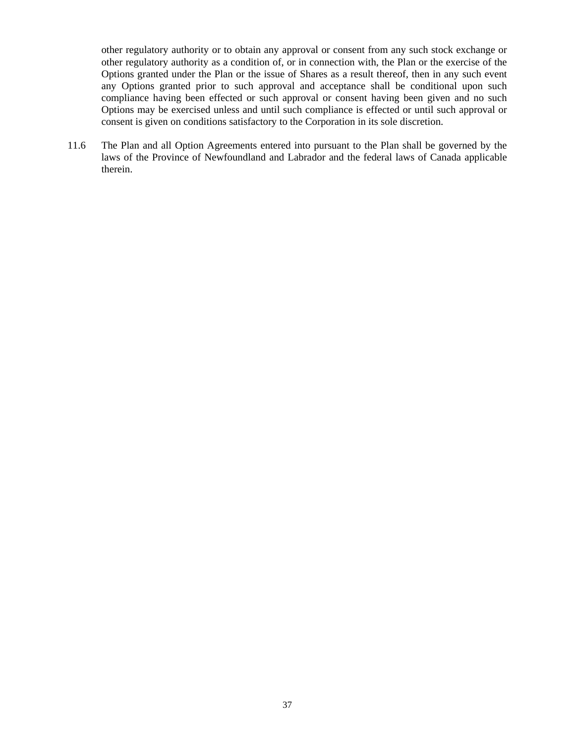other regulatory authority or to obtain any approval or consent from any such stock exchange or other regulatory authority as a condition of, or in connection with, the Plan or the exercise of the Options granted under the Plan or the issue of Shares as a result thereof, then in any such event any Options granted prior to such approval and acceptance shall be conditional upon such compliance having been effected or such approval or consent having been given and no such Options may be exercised unless and until such compliance is effected or until such approval or consent is given on conditions satisfactory to the Corporation in its sole discretion.

11.6 The Plan and all Option Agreements entered into pursuant to the Plan shall be governed by the laws of the Province of Newfoundland and Labrador and the federal laws of Canada applicable therein.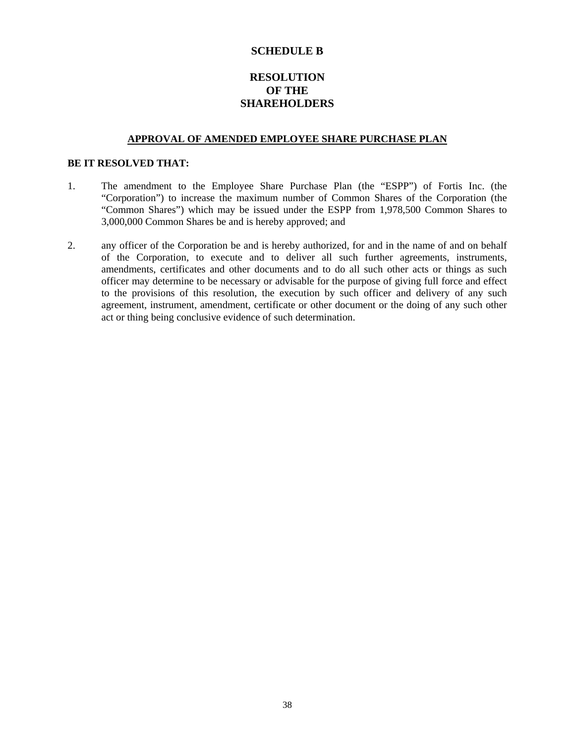#### **SCHEDULE B**

#### **RESOLUTION OF THE SHAREHOLDERS**

#### **APPROVAL OF AMENDED EMPLOYEE SHARE PURCHASE PLAN**

#### **BE IT RESOLVED THAT:**

- 1. The amendment to the Employee Share Purchase Plan (the "ESPP") of Fortis Inc. (the "Corporation") to increase the maximum number of Common Shares of the Corporation (the "Common Shares") which may be issued under the ESPP from 1,978,500 Common Shares to 3,000,000 Common Shares be and is hereby approved; and
- 2. any officer of the Corporation be and is hereby authorized, for and in the name of and on behalf of the Corporation, to execute and to deliver all such further agreements, instruments, amendments, certificates and other documents and to do all such other acts or things as such officer may determine to be necessary or advisable for the purpose of giving full force and effect to the provisions of this resolution, the execution by such officer and delivery of any such agreement, instrument, amendment, certificate or other document or the doing of any such other act or thing being conclusive evidence of such determination.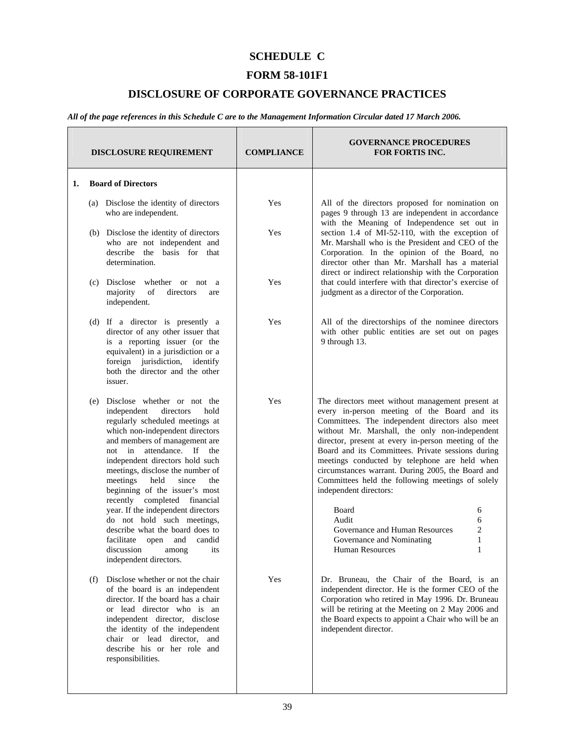### **SCHEDULE C**

#### **FORM 58-101F1**

#### **DISCLOSURE OF CORPORATE GOVERNANCE PRACTICES**

*All of the page references in this Schedule C are to the Management Information Circular dated 17 March 2006.* 

|    | <b>DISCLOSURE REQUIREMENT</b>                                                                                                                                                                                                                                                                                                                                                                                              | <b>COMPLIANCE</b> | <b>GOVERNANCE PROCEDURES</b><br><b>FOR FORTIS INC.</b>                                                                                                                                                                                                                                                                                                                                                                                                                                                              |
|----|----------------------------------------------------------------------------------------------------------------------------------------------------------------------------------------------------------------------------------------------------------------------------------------------------------------------------------------------------------------------------------------------------------------------------|-------------------|---------------------------------------------------------------------------------------------------------------------------------------------------------------------------------------------------------------------------------------------------------------------------------------------------------------------------------------------------------------------------------------------------------------------------------------------------------------------------------------------------------------------|
| 1. | <b>Board of Directors</b>                                                                                                                                                                                                                                                                                                                                                                                                  |                   |                                                                                                                                                                                                                                                                                                                                                                                                                                                                                                                     |
|    | (a) Disclose the identity of directors<br>who are independent.                                                                                                                                                                                                                                                                                                                                                             | Yes               | All of the directors proposed for nomination on<br>pages 9 through 13 are independent in accordance<br>with the Meaning of Independence set out in                                                                                                                                                                                                                                                                                                                                                                  |
|    | (b) Disclose the identity of directors<br>who are not independent and<br>describe the basis for that<br>determination.                                                                                                                                                                                                                                                                                                     | Yes               | section 1.4 of MI-52-110, with the exception of<br>Mr. Marshall who is the President and CEO of the<br>Corporation. In the opinion of the Board, no<br>director other than Mr. Marshall has a material<br>direct or indirect relationship with the Corporation                                                                                                                                                                                                                                                      |
|    | Disclose<br>whether or not a<br>(c)<br>majority<br>of<br>directors<br>are<br>independent.                                                                                                                                                                                                                                                                                                                                  | Yes               | that could interfere with that director's exercise of<br>judgment as a director of the Corporation.                                                                                                                                                                                                                                                                                                                                                                                                                 |
|    | (d) If a director is presently a<br>director of any other issuer that<br>is a reporting issuer (or the<br>equivalent) in a jurisdiction or a<br>foreign jurisdiction, identify<br>both the director and the other<br>issuer.                                                                                                                                                                                               | Yes               | All of the directorships of the nominee directors<br>with other public entities are set out on pages<br>9 through 13.                                                                                                                                                                                                                                                                                                                                                                                               |
|    | (e) Disclose whether or not the<br>independent<br>hold<br>directors<br>regularly scheduled meetings at<br>which non-independent directors<br>and members of management are<br>not in attendance. If the<br>independent directors hold such<br>meetings, disclose the number of<br>meetings<br>held<br>since<br>the<br>beginning of the issuer's most<br>recently completed financial<br>year. If the independent directors | Yes               | The directors meet without management present at<br>every in-person meeting of the Board and its<br>Committees. The independent directors also meet<br>without Mr. Marshall, the only non-independent<br>director, present at every in-person meeting of the<br>Board and its Committees. Private sessions during<br>meetings conducted by telephone are held when<br>circumstances warrant. During 2005, the Board and<br>Committees held the following meetings of solely<br>independent directors:<br>Board<br>6 |
|    | do not hold such meetings,<br>describe what the board does to<br>facilitate open and candid<br>discussion among its<br>independent directors.                                                                                                                                                                                                                                                                              |                   | Audit<br>6<br>$\overline{c}$<br>Governance and Human Resources<br>$\mathbf{1}$<br>Governance and Nominating<br><b>Human Resources</b><br>1                                                                                                                                                                                                                                                                                                                                                                          |
|    | Disclose whether or not the chair<br>(f)<br>of the board is an independent<br>director. If the board has a chair<br>or lead director who is an<br>independent director, disclose<br>the identity of the independent<br>chair or lead director, and<br>describe his or her role and<br>responsibilities.                                                                                                                    | Yes               | Dr. Bruneau, the Chair of the Board, is an<br>independent director. He is the former CEO of the<br>Corporation who retired in May 1996. Dr. Bruneau<br>will be retiring at the Meeting on 2 May 2006 and<br>the Board expects to appoint a Chair who will be an<br>independent director.                                                                                                                                                                                                                            |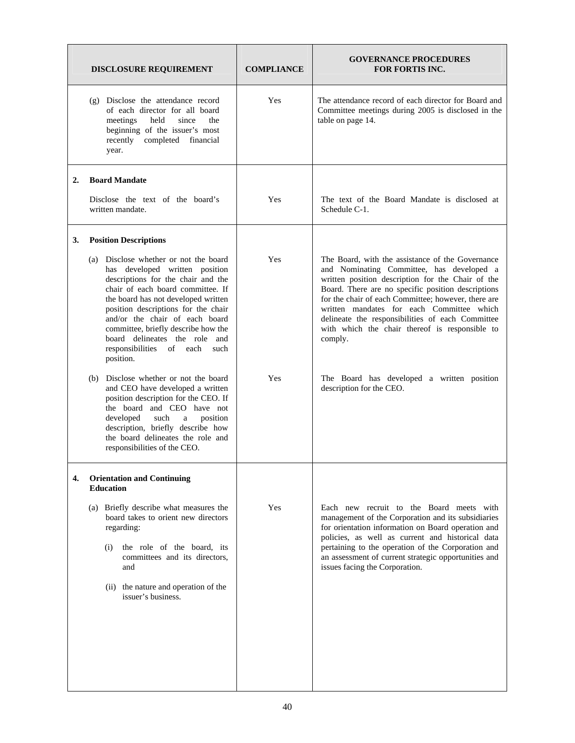|    | <b>DISCLOSURE REQUIREMENT</b>                                                                                                                                                                                                                                                                                                                                                                     | <b>COMPLIANCE</b> | <b>GOVERNANCE PROCEDURES</b><br><b>FOR FORTIS INC.</b>                                                                                                                                                                                                                                                                                                                                                                        |
|----|---------------------------------------------------------------------------------------------------------------------------------------------------------------------------------------------------------------------------------------------------------------------------------------------------------------------------------------------------------------------------------------------------|-------------------|-------------------------------------------------------------------------------------------------------------------------------------------------------------------------------------------------------------------------------------------------------------------------------------------------------------------------------------------------------------------------------------------------------------------------------|
|    | (g) Disclose the attendance record<br>of each director for all board<br>held<br>since<br>meetings<br>the<br>beginning of the issuer's most<br>recently<br>completed financial<br>year.                                                                                                                                                                                                            | Yes               | The attendance record of each director for Board and<br>Committee meetings during 2005 is disclosed in the<br>table on page 14.                                                                                                                                                                                                                                                                                               |
| 2. | <b>Board Mandate</b>                                                                                                                                                                                                                                                                                                                                                                              |                   |                                                                                                                                                                                                                                                                                                                                                                                                                               |
|    | Disclose the text of the board's<br>written mandate.                                                                                                                                                                                                                                                                                                                                              | Yes               | The text of the Board Mandate is disclosed at<br>Schedule C-1.                                                                                                                                                                                                                                                                                                                                                                |
| 3. | <b>Position Descriptions</b>                                                                                                                                                                                                                                                                                                                                                                      |                   |                                                                                                                                                                                                                                                                                                                                                                                                                               |
|    | (a) Disclose whether or not the board<br>has developed written position<br>descriptions for the chair and the<br>chair of each board committee. If<br>the board has not developed written<br>position descriptions for the chair<br>and/or the chair of each board<br>committee, briefly describe how the<br>board delineates the role and<br>responsibilities<br>of<br>each<br>such<br>position. | Yes               | The Board, with the assistance of the Governance<br>and Nominating Committee, has developed a<br>written position description for the Chair of the<br>Board. There are no specific position descriptions<br>for the chair of each Committee; however, there are<br>written mandates for each Committee which<br>delineate the responsibilities of each Committee<br>with which the chair thereof is responsible to<br>comply. |
|    | (b) Disclose whether or not the board<br>and CEO have developed a written<br>position description for the CEO. If<br>the board and CEO have not<br>developed<br>such<br>position<br>a<br>description, briefly describe how<br>the board delineates the role and<br>responsibilities of the CEO.                                                                                                   | Yes               | The Board has developed a written position<br>description for the CEO.                                                                                                                                                                                                                                                                                                                                                        |
| 4. | <b>Orientation and Continuing</b><br><b>Education</b>                                                                                                                                                                                                                                                                                                                                             |                   |                                                                                                                                                                                                                                                                                                                                                                                                                               |
|    | (a) Briefly describe what measures the<br>board takes to orient new directors<br>regarding:<br>the role of the board, its<br>(i)<br>committees and its directors,<br>and<br>(ii) the nature and operation of the<br>issuer's business.                                                                                                                                                            | Yes               | Each new recruit to the Board meets with<br>management of the Corporation and its subsidiaries<br>for orientation information on Board operation and<br>policies, as well as current and historical data<br>pertaining to the operation of the Corporation and<br>an assessment of current strategic opportunities and<br>issues facing the Corporation.                                                                      |
|    |                                                                                                                                                                                                                                                                                                                                                                                                   |                   |                                                                                                                                                                                                                                                                                                                                                                                                                               |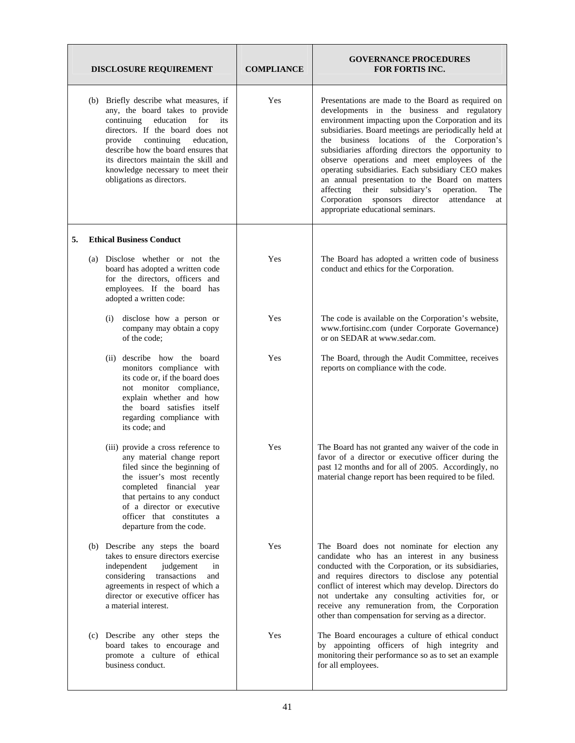|    | <b>DISCLOSURE REQUIREMENT</b>                                                                                                                                                                                                                                                                                                                  | <b>COMPLIANCE</b> | <b>GOVERNANCE PROCEDURES</b><br><b>FOR FORTIS INC.</b>                                                                                                                                                                                                                                                                                                                                                                                                                                                                                                                                                                             |
|----|------------------------------------------------------------------------------------------------------------------------------------------------------------------------------------------------------------------------------------------------------------------------------------------------------------------------------------------------|-------------------|------------------------------------------------------------------------------------------------------------------------------------------------------------------------------------------------------------------------------------------------------------------------------------------------------------------------------------------------------------------------------------------------------------------------------------------------------------------------------------------------------------------------------------------------------------------------------------------------------------------------------------|
|    | (b) Briefly describe what measures, if<br>any, the board takes to provide<br>education<br>for<br>continuing<br>its<br>directors. If the board does not<br>continuing<br>provide<br>education,<br>describe how the board ensures that<br>its directors maintain the skill and<br>knowledge necessary to meet their<br>obligations as directors. | Yes               | Presentations are made to the Board as required on<br>developments in the business and regulatory<br>environment impacting upon the Corporation and its<br>subsidiaries. Board meetings are periodically held at<br>the business locations of the Corporation's<br>subsidiaries affording directors the opportunity to<br>observe operations and meet employees of the<br>operating subsidiaries. Each subsidiary CEO makes<br>an annual presentation to the Board on matters<br>their<br>subsidiary's<br>affecting<br>operation.<br>The<br>Corporation sponsors director<br>attendance<br>at<br>appropriate educational seminars. |
| 5. | <b>Ethical Business Conduct</b>                                                                                                                                                                                                                                                                                                                |                   |                                                                                                                                                                                                                                                                                                                                                                                                                                                                                                                                                                                                                                    |
|    | (a) Disclose whether or not the<br>board has adopted a written code<br>for the directors, officers and<br>employees. If the board has<br>adopted a written code:                                                                                                                                                                               | Yes               | The Board has adopted a written code of business<br>conduct and ethics for the Corporation.                                                                                                                                                                                                                                                                                                                                                                                                                                                                                                                                        |
|    | disclose how a person or<br>(i)<br>company may obtain a copy<br>of the code;                                                                                                                                                                                                                                                                   | Yes               | The code is available on the Corporation's website,<br>www.fortisinc.com (under Corporate Governance)<br>or on SEDAR at www.sedar.com.                                                                                                                                                                                                                                                                                                                                                                                                                                                                                             |
|    | (ii) describe how the board<br>monitors compliance with<br>its code or, if the board does<br>not monitor compliance,<br>explain whether and how<br>the board satisfies itself<br>regarding compliance with<br>its code; and                                                                                                                    | Yes               | The Board, through the Audit Committee, receives<br>reports on compliance with the code.                                                                                                                                                                                                                                                                                                                                                                                                                                                                                                                                           |
|    | (iii) provide a cross reference to<br>any material change report<br>filed since the beginning of<br>the issuer's most recently<br>completed financial year<br>that pertains to any conduct<br>of a director or executive<br>officer that constitutes a<br>departure from the code.                                                             | Yes               | The Board has not granted any waiver of the code in<br>favor of a director or executive officer during the<br>past 12 months and for all of 2005. Accordingly, no<br>material change report has been required to be filed.                                                                                                                                                                                                                                                                                                                                                                                                         |
|    | (b) Describe any steps the board<br>takes to ensure directors exercise<br>independent<br>judgement<br>in<br>considering transactions<br>and<br>agreements in respect of which a<br>director or executive officer has<br>a material interest.                                                                                                   | Yes               | The Board does not nominate for election any<br>candidate who has an interest in any business<br>conducted with the Corporation, or its subsidiaries,<br>and requires directors to disclose any potential<br>conflict of interest which may develop. Directors do<br>not undertake any consulting activities for, or<br>receive any remuneration from, the Corporation<br>other than compensation for serving as a director.                                                                                                                                                                                                       |
|    | (c) Describe any other steps the<br>board takes to encourage and<br>promote a culture of ethical<br>business conduct.                                                                                                                                                                                                                          | Yes               | The Board encourages a culture of ethical conduct<br>by appointing officers of high integrity and<br>monitoring their performance so as to set an example<br>for all employees.                                                                                                                                                                                                                                                                                                                                                                                                                                                    |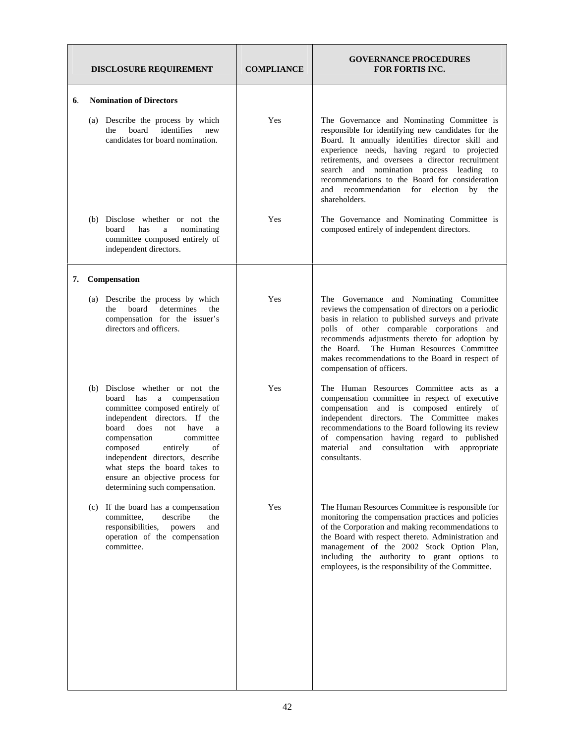|    |     | <b>DISCLOSURE REQUIREMENT</b>                                                                                                                                                                                                                                                                                                                                              | <b>COMPLIANCE</b> | <b>GOVERNANCE PROCEDURES</b><br><b>FOR FORTIS INC.</b>                                                                                                                                                                                                                                                                                                                                                                        |
|----|-----|----------------------------------------------------------------------------------------------------------------------------------------------------------------------------------------------------------------------------------------------------------------------------------------------------------------------------------------------------------------------------|-------------------|-------------------------------------------------------------------------------------------------------------------------------------------------------------------------------------------------------------------------------------------------------------------------------------------------------------------------------------------------------------------------------------------------------------------------------|
| 6. |     | <b>Nomination of Directors</b>                                                                                                                                                                                                                                                                                                                                             |                   |                                                                                                                                                                                                                                                                                                                                                                                                                               |
|    |     | (a) Describe the process by which<br>board<br>identifies<br>new<br>the<br>candidates for board nomination.                                                                                                                                                                                                                                                                 | Yes               | The Governance and Nominating Committee is<br>responsible for identifying new candidates for the<br>Board. It annually identifies director skill and<br>experience needs, having regard to projected<br>retirements, and oversees a director recruitment<br>and nomination process leading<br>search<br>to<br>recommendations to the Board for consideration<br>and recommendation for election<br>by<br>the<br>shareholders. |
|    |     | (b) Disclose whether or not the<br>board<br>has<br>nominating<br>a<br>committee composed entirely of<br>independent directors.                                                                                                                                                                                                                                             | Yes               | The Governance and Nominating Committee is<br>composed entirely of independent directors.                                                                                                                                                                                                                                                                                                                                     |
| 7. |     | Compensation                                                                                                                                                                                                                                                                                                                                                               |                   |                                                                                                                                                                                                                                                                                                                                                                                                                               |
|    |     | (a) Describe the process by which<br>board<br>determines<br>the<br>the<br>compensation for the issuer's<br>directors and officers.                                                                                                                                                                                                                                         | Yes               | The Governance and Nominating Committee<br>reviews the compensation of directors on a periodic<br>basis in relation to published surveys and private<br>polls of other comparable corporations and<br>recommends adjustments thereto for adoption by<br>The Human Resources Committee<br>the Board.<br>makes recommendations to the Board in respect of<br>compensation of officers.                                          |
|    |     | (b) Disclose whether or not the<br>board has<br>a compensation<br>committee composed entirely of<br>independent directors. If the<br>board<br>does<br>have<br>not<br>a<br>compensation<br>committee<br>composed<br>entirely<br>of<br>independent directors, describe<br>what steps the board takes to<br>ensure an objective process for<br>determining such compensation. | Yes               | The Human Resources Committee acts as a<br>compensation committee in respect of executive<br>compensation and is composed entirely of<br>independent directors. The Committee makes<br>recommendations to the Board following its review<br>of compensation having regard to published<br>material<br>and consultation with<br>appropriate<br>consultants.                                                                    |
|    | (c) | If the board has a compensation<br>committee,<br>describe<br>the<br>responsibilities,<br>powers<br>and<br>operation of the compensation<br>committee.                                                                                                                                                                                                                      | Yes               | The Human Resources Committee is responsible for<br>monitoring the compensation practices and policies<br>of the Corporation and making recommendations to<br>the Board with respect thereto. Administration and<br>management of the 2002 Stock Option Plan,<br>including the authority to grant options to<br>employees, is the responsibility of the Committee.                                                            |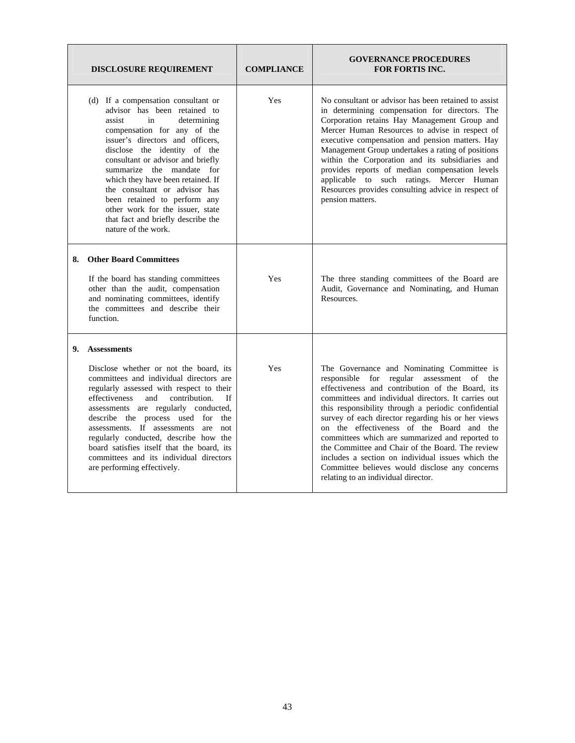|    | <b>DISCLOSURE REQUIREMENT</b>                                                                                                                                                                                                                                                                                                                                                                                                                                                           | <b>COMPLIANCE</b> | <b>GOVERNANCE PROCEDURES</b><br><b>FOR FORTIS INC.</b>                                                                                                                                                                                                                                                                                                                                                                                                                                                                                                                                                            |
|----|-----------------------------------------------------------------------------------------------------------------------------------------------------------------------------------------------------------------------------------------------------------------------------------------------------------------------------------------------------------------------------------------------------------------------------------------------------------------------------------------|-------------------|-------------------------------------------------------------------------------------------------------------------------------------------------------------------------------------------------------------------------------------------------------------------------------------------------------------------------------------------------------------------------------------------------------------------------------------------------------------------------------------------------------------------------------------------------------------------------------------------------------------------|
|    | (d) If a compensation consultant or<br>advisor has been retained to<br>assist<br>in<br>determining<br>compensation for any of the<br>issuer's directors and officers,<br>disclose the identity of the<br>consultant or advisor and briefly<br>summarize the mandate for<br>which they have been retained. If<br>the consultant or advisor has<br>been retained to perform any<br>other work for the issuer, state<br>that fact and briefly describe the<br>nature of the work.          | Yes               | No consultant or advisor has been retained to assist<br>in determining compensation for directors. The<br>Corporation retains Hay Management Group and<br>Mercer Human Resources to advise in respect of<br>executive compensation and pension matters. Hay<br>Management Group undertakes a rating of positions<br>within the Corporation and its subsidiaries and<br>provides reports of median compensation levels<br>applicable to such ratings. Mercer Human<br>Resources provides consulting advice in respect of<br>pension matters.                                                                       |
| 8. | <b>Other Board Committees</b><br>If the board has standing committees<br>other than the audit, compensation<br>and nominating committees, identify<br>the committees and describe their<br>function.                                                                                                                                                                                                                                                                                    | Yes               | The three standing committees of the Board are<br>Audit, Governance and Nominating, and Human<br>Resources.                                                                                                                                                                                                                                                                                                                                                                                                                                                                                                       |
| 9. | <b>Assessments</b><br>Disclose whether or not the board, its<br>committees and individual directors are<br>regularly assessed with respect to their<br>effectiveness<br>and<br>contribution.<br>Ιf<br>assessments are regularly conducted,<br>describe the process used for the<br>assessments. If assessments are not<br>regularly conducted, describe how the<br>board satisfies itself that the board, its<br>committees and its individual directors<br>are performing effectively. | Yes               | The Governance and Nominating Committee is<br>responsible for regular assessment of the<br>effectiveness and contribution of the Board, its<br>committees and individual directors. It carries out<br>this responsibility through a periodic confidential<br>survey of each director regarding his or her views<br>on the effectiveness of the Board and the<br>committees which are summarized and reported to<br>the Committee and Chair of the Board. The review<br>includes a section on individual issues which the<br>Committee believes would disclose any concerns<br>relating to an individual director. |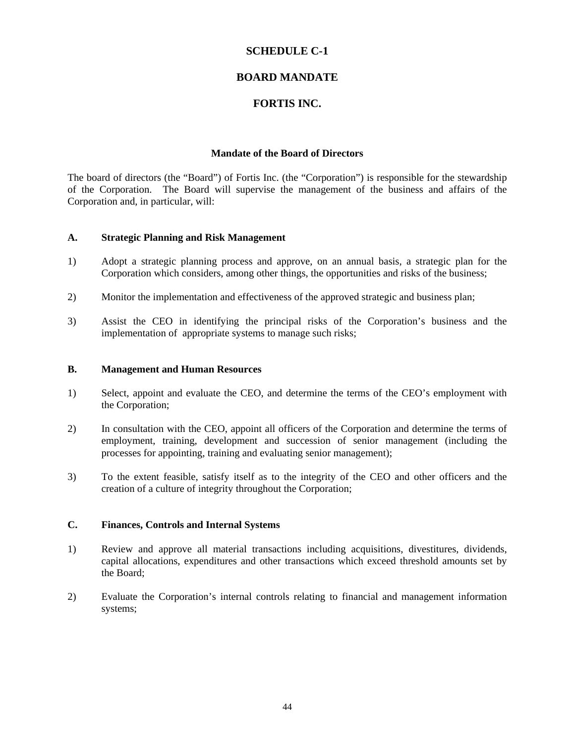#### **SCHEDULE C-1**

#### **BOARD MANDATE**

#### **FORTIS INC.**

#### **Mandate of the Board of Directors**

The board of directors (the "Board") of Fortis Inc. (the "Corporation") is responsible for the stewardship of the Corporation. The Board will supervise the management of the business and affairs of the Corporation and, in particular, will:

#### **A. Strategic Planning and Risk Management**

- 1) Adopt a strategic planning process and approve, on an annual basis, a strategic plan for the Corporation which considers, among other things, the opportunities and risks of the business;
- 2) Monitor the implementation and effectiveness of the approved strategic and business plan;
- 3) Assist the CEO in identifying the principal risks of the Corporation's business and the implementation of appropriate systems to manage such risks;

#### **B. Management and Human Resources**

- 1) Select, appoint and evaluate the CEO, and determine the terms of the CEO's employment with the Corporation;
- 2) In consultation with the CEO, appoint all officers of the Corporation and determine the terms of employment, training, development and succession of senior management (including the processes for appointing, training and evaluating senior management);
- 3) To the extent feasible, satisfy itself as to the integrity of the CEO and other officers and the creation of a culture of integrity throughout the Corporation;

#### **C. Finances, Controls and Internal Systems**

- 1) Review and approve all material transactions including acquisitions, divestitures, dividends, capital allocations, expenditures and other transactions which exceed threshold amounts set by the Board;
- 2) Evaluate the Corporation's internal controls relating to financial and management information systems;